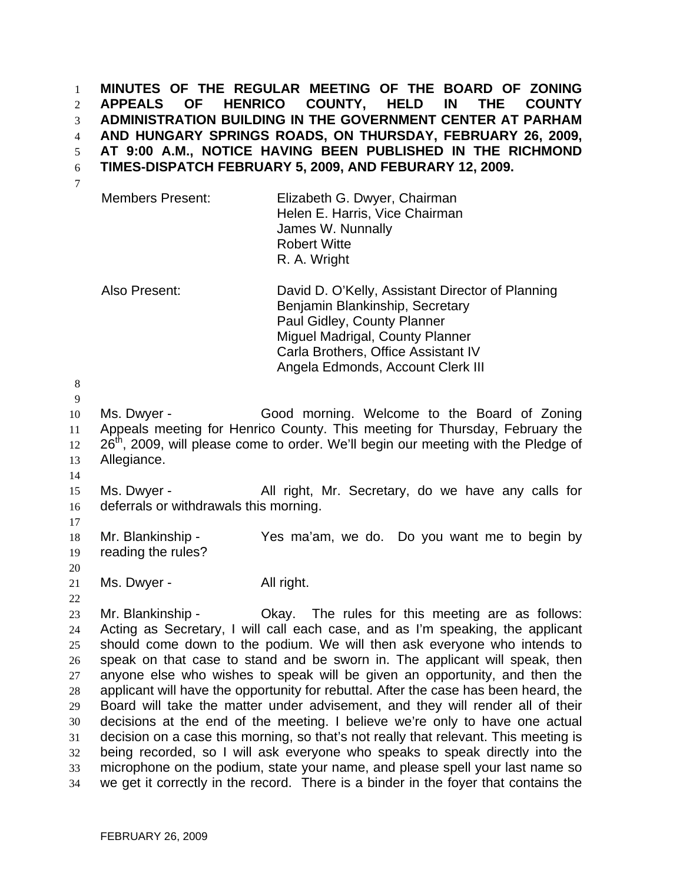**MINUTES OF THE REGULAR MEETING OF THE BOARD OF ZONING APPEALS OF HENRICO COUNTY, HELD IN THE COUNTY ADMINISTRATION BUILDING IN THE GOVERNMENT CENTER AT PARHAM AND HUNGARY SPRINGS ROADS, ON THURSDAY, FEBRUARY 26, 2009, AT 9:00 A.M., NOTICE HAVING BEEN PUBLISHED IN THE RICHMOND TIMES-DISPATCH FEBRUARY 5, 2009, AND FEBURARY 12, 2009.**  1 2 3 4 5 6

7

| Members Present: | Elizabeth G. Dwyer, Chairman<br>Helen E. Harris, Vice Chairman<br>James W. Nunnally |
|------------------|-------------------------------------------------------------------------------------|
|                  | <b>Robert Witte</b>                                                                 |
|                  | R. A. Wright                                                                        |

Also Present: David D. O'Kelly, Assistant Director of Planning Benjamin Blankinship, Secretary Paul Gidley, County Planner Miguel Madrigal, County Planner Carla Brothers, Office Assistant IV Angela Edmonds, Account Clerk III

8 9

10 11 12 13 Ms. Dwyer - Good morning. Welcome to the Board of Zoning Appeals meeting for Henrico County. This meeting for Thursday, February the 26<sup>th</sup>, 2009, will please come to order. We'll begin our meeting with the Pledge of Allegiance.

14

15 16 Ms. Dwyer - The All right, Mr. Secretary, do we have any calls for deferrals or withdrawals this morning.

17

18 19 Mr. Blankinship - Yes ma'am, we do. Do you want me to begin by reading the rules?

20

22

21 Ms. Dwyer - All right.

23 24 25 26 27 28 29 30 31 32 33 34 Mr. Blankinship - Ckay. The rules for this meeting are as follows: Acting as Secretary, I will call each case, and as I'm speaking, the applicant should come down to the podium. We will then ask everyone who intends to speak on that case to stand and be sworn in. The applicant will speak, then anyone else who wishes to speak will be given an opportunity, and then the applicant will have the opportunity for rebuttal. After the case has been heard, the Board will take the matter under advisement, and they will render all of their decisions at the end of the meeting. I believe we're only to have one actual decision on a case this morning, so that's not really that relevant. This meeting is being recorded, so I will ask everyone who speaks to speak directly into the microphone on the podium, state your name, and please spell your last name so we get it correctly in the record. There is a binder in the foyer that contains the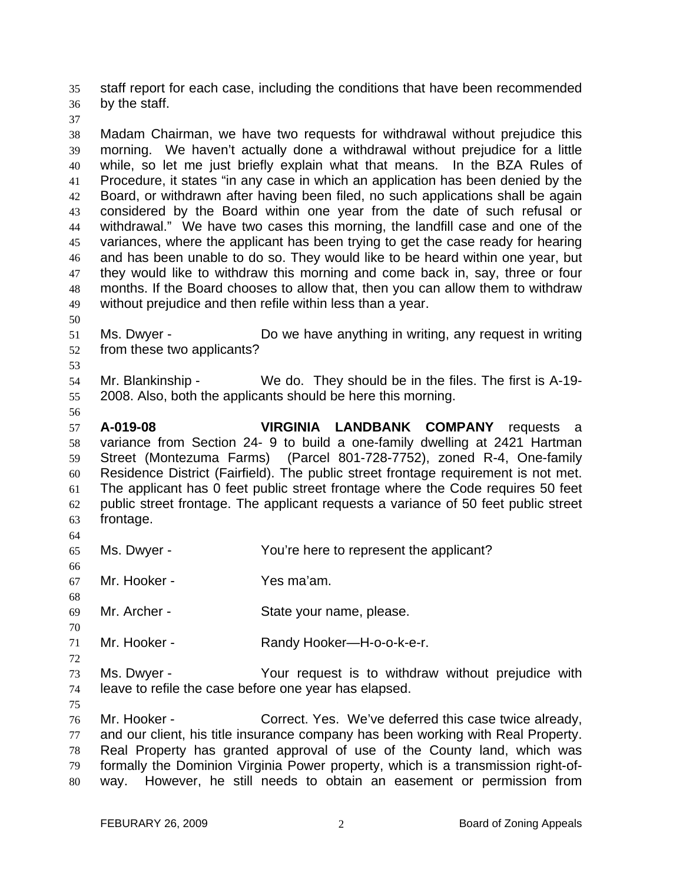staff report for each case, including the conditions that have been recommended by the staff. 35 36

37

38 39 40 41 42 43 44 45 46 47 48 49 Madam Chairman, we have two requests for withdrawal without prejudice this morning. We haven't actually done a withdrawal without prejudice for a little while, so let me just briefly explain what that means. In the BZA Rules of Procedure, it states "in any case in which an application has been denied by the Board, or withdrawn after having been filed, no such applications shall be again considered by the Board within one year from the date of such refusal or withdrawal." We have two cases this morning, the landfill case and one of the variances, where the applicant has been trying to get the case ready for hearing and has been unable to do so. They would like to be heard within one year, but they would like to withdraw this morning and come back in, say, three or four months. If the Board chooses to allow that, then you can allow them to withdraw without prejudice and then refile within less than a year.

- 50
- 51 52 Ms. Dwyer - Do we have anything in writing, any request in writing from these two applicants?
- 53

54 55 Mr. Blankinship - We do. They should be in the files. The first is A-19-2008. Also, both the applicants should be here this morning.

56

57 58 59 60 61 62 63 64 **A-019-08 VIRGINIA LANDBANK COMPANY** requests a variance from Section 24- 9 to build a one-family dwelling at 2421 Hartman Street (Montezuma Farms) (Parcel 801-728-7752), zoned R-4, One-family Residence District (Fairfield). The public street frontage requirement is not met. The applicant has 0 feet public street frontage where the Code requires 50 feet public street frontage. The applicant requests a variance of 50 feet public street frontage.

- 65 Ms. Dwyer - The You're here to represent the applicant?
- 66 67 Mr. Hooker - Yes ma'am.
- 69 Mr. Archer - State your name, please.
- 71 Mr. Hooker - Randy Hooker—H-o-o-k-e-r.
- 73 74 Ms. Dwyer - Your request is to withdraw without prejudice with leave to refile the case before one year has elapsed.
- 75

68

70

72

76 77 78 79 80 Mr. Hooker - Correct. Yes. We've deferred this case twice already, and our client, his title insurance company has been working with Real Property. Real Property has granted approval of use of the County land, which was formally the Dominion Virginia Power property, which is a transmission right-ofway. However, he still needs to obtain an easement or permission from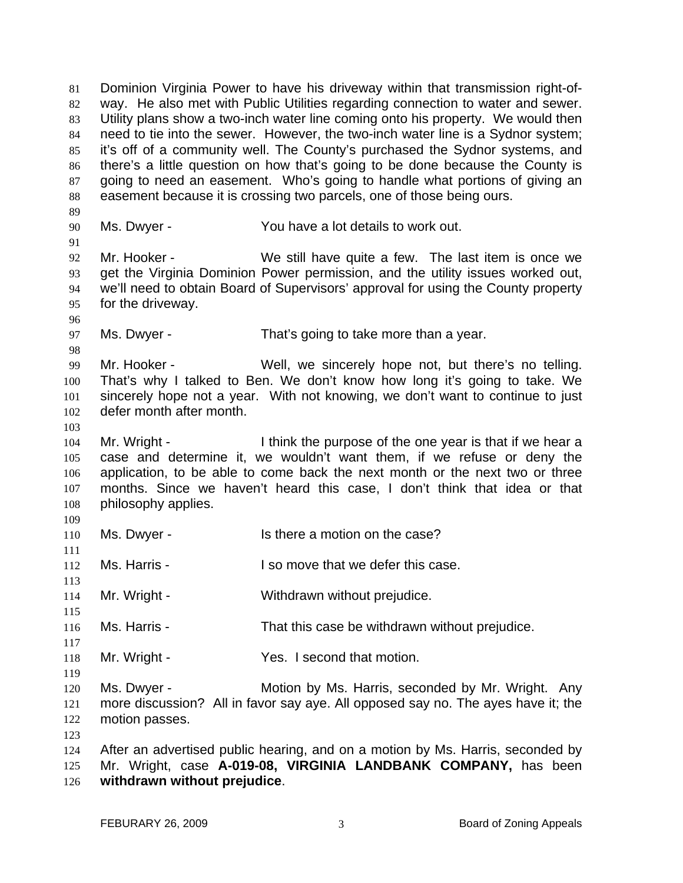Dominion Virginia Power to have his driveway within that transmission right-ofway. He also met with Public Utilities regarding connection to water and sewer. Utility plans show a two-inch water line coming onto his property. We would then need to tie into the sewer. However, the two-inch water line is a Sydnor system; it's off of a community well. The County's purchased the Sydnor systems, and there's a little question on how that's going to be done because the County is going to need an easement. Who's going to handle what portions of giving an easement because it is crossing two parcels, one of those being ours. 81 82 83 84 85 86 87 88 89 90 91 92 93 94 95 96 97 98 99 100 101 102 103 104 105 106 107 108 109 110 111 112 113 114 115 116 117 118 119 120 121 122 123 124 125 126 Ms. Dwyer - The You have a lot details to work out. Mr. Hooker - We still have quite a few. The last item is once we get the Virginia Dominion Power permission, and the utility issues worked out, we'll need to obtain Board of Supervisors' approval for using the County property for the driveway. Ms. Dwyer - That's going to take more than a year. Mr. Hooker - Well, we sincerely hope not, but there's no telling. That's why I talked to Ben. We don't know how long it's going to take. We sincerely hope not a year. With not knowing, we don't want to continue to just defer month after month. Mr. Wright - I think the purpose of the one year is that if we hear a case and determine it, we wouldn't want them, if we refuse or deny the application, to be able to come back the next month or the next two or three months. Since we haven't heard this case, I don't think that idea or that philosophy applies. Ms. Dwyer - Is there a motion on the case? Ms. Harris - **I** so move that we defer this case. Mr. Wright - Withdrawn without prejudice. Ms. Harris - That this case be withdrawn without prejudice. Mr. Wright - Yes. I second that motion. Ms. Dwyer - Motion by Ms. Harris, seconded by Mr. Wright. Any more discussion? All in favor say aye. All opposed say no. The ayes have it; the motion passes. After an advertised public hearing, and on a motion by Ms. Harris, seconded by Mr. Wright, case **A-019-08, VIRGINIA LANDBANK COMPANY,** has been **withdrawn without prejudice**.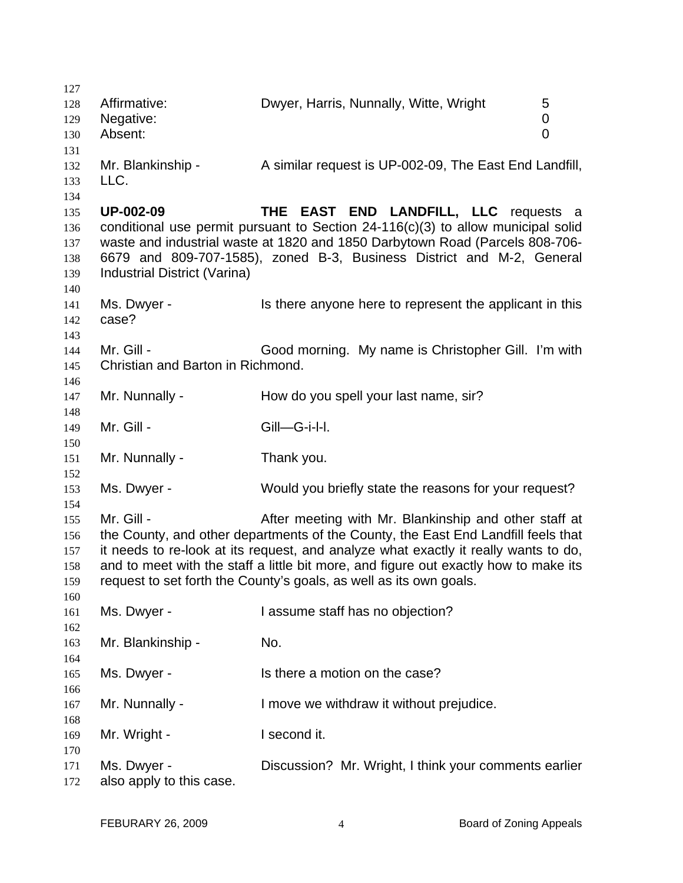| 127 |                                                                                   |                                                                                      |   |
|-----|-----------------------------------------------------------------------------------|--------------------------------------------------------------------------------------|---|
| 128 | Affirmative:                                                                      | Dwyer, Harris, Nunnally, Witte, Wright                                               | 5 |
| 129 | Negative:                                                                         |                                                                                      | 0 |
| 130 | Absent:                                                                           |                                                                                      | 0 |
| 131 |                                                                                   |                                                                                      |   |
| 132 | Mr. Blankinship -                                                                 | A similar request is UP-002-09, The East End Landfill,                               |   |
| 133 | LLC.                                                                              |                                                                                      |   |
| 134 |                                                                                   |                                                                                      |   |
| 135 | <b>UP-002-09</b>                                                                  | THE EAST END LANDFILL, LLC requests a                                                |   |
|     |                                                                                   | conditional use permit pursuant to Section $24-116(c)(3)$ to allow municipal solid   |   |
| 136 |                                                                                   |                                                                                      |   |
| 137 |                                                                                   | waste and industrial waste at 1820 and 1850 Darbytown Road (Parcels 808-706-         |   |
| 138 | 6679 and 809-707-1585), zoned B-3, Business District and M-2, General             |                                                                                      |   |
| 139 | Industrial District (Varina)                                                      |                                                                                      |   |
| 140 |                                                                                   |                                                                                      |   |
| 141 | Ms. Dwyer -                                                                       | Is there anyone here to represent the applicant in this                              |   |
| 142 | case?                                                                             |                                                                                      |   |
| 143 |                                                                                   |                                                                                      |   |
| 144 | Mr. Gill -                                                                        | Good morning. My name is Christopher Gill. I'm with                                  |   |
| 145 | Christian and Barton in Richmond.                                                 |                                                                                      |   |
| 146 |                                                                                   |                                                                                      |   |
| 147 | Mr. Nunnally -                                                                    | How do you spell your last name, sir?                                                |   |
| 148 |                                                                                   |                                                                                      |   |
| 149 | Mr. Gill -                                                                        | Gill-G-i-l-l.                                                                        |   |
| 150 |                                                                                   |                                                                                      |   |
| 151 | Mr. Nunnally -                                                                    | Thank you.                                                                           |   |
| 152 |                                                                                   |                                                                                      |   |
| 153 | Ms. Dwyer -                                                                       | Would you briefly state the reasons for your request?                                |   |
| 154 |                                                                                   |                                                                                      |   |
| 155 | Mr. Gill -                                                                        | After meeting with Mr. Blankinship and other staff at                                |   |
| 156 | the County, and other departments of the County, the East End Landfill feels that |                                                                                      |   |
| 157 |                                                                                   | it needs to re-look at its request, and analyze what exactly it really wants to do,  |   |
| 158 |                                                                                   | and to meet with the staff a little bit more, and figure out exactly how to make its |   |
|     |                                                                                   |                                                                                      |   |
| 159 | request to set forth the County's goals, as well as its own goals.                |                                                                                      |   |
| 160 |                                                                                   |                                                                                      |   |
| 161 | Ms. Dwyer -                                                                       | I assume staff has no objection?                                                     |   |
| 162 |                                                                                   |                                                                                      |   |
| 163 | Mr. Blankinship -                                                                 | No.                                                                                  |   |
| 164 |                                                                                   |                                                                                      |   |
| 165 | Ms. Dwyer -                                                                       | Is there a motion on the case?                                                       |   |
| 166 |                                                                                   |                                                                                      |   |
| 167 | Mr. Nunnally -                                                                    | I move we withdraw it without prejudice.                                             |   |
| 168 |                                                                                   |                                                                                      |   |
| 169 | Mr. Wright -                                                                      | I second it.                                                                         |   |
| 170 |                                                                                   |                                                                                      |   |
| 171 | Ms. Dwyer -                                                                       | Discussion? Mr. Wright, I think your comments earlier                                |   |
| 172 | also apply to this case.                                                          |                                                                                      |   |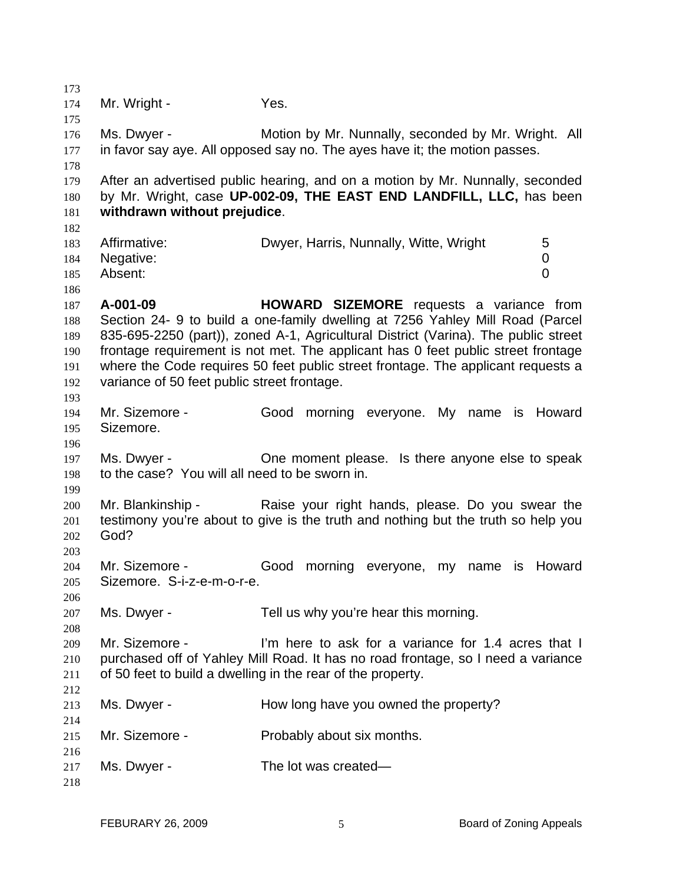173 174 175 176 177 178 179 180 181 182 183 184 185 186 187 188 189 190 191 192 193 194 195 196 197 198 199 200 201 202 203 204 205 206 207 208 209 210 211 212 213 214 215 216 217 218 Mr. Wright - Yes. Ms. Dwyer - Motion by Mr. Nunnally, seconded by Mr. Wright. All in favor say aye. All opposed say no. The ayes have it; the motion passes. After an advertised public hearing, and on a motion by Mr. Nunnally, seconded by Mr. Wright, case **UP-002-09, THE EAST END LANDFILL, LLC,** has been **withdrawn without prejudice**. Affirmative: **Dwyer, Harris, Nunnally, Witte, Wright** 5 Negative: 0 Absent: 0 **A-001-09 HOWARD SIZEMORE** requests a variance from Section 24- 9 to build a one-family dwelling at 7256 Yahley Mill Road (Parcel 835-695-2250 (part)), zoned A-1, Agricultural District (Varina). The public street frontage requirement is not met. The applicant has 0 feet public street frontage where the Code requires 50 feet public street frontage. The applicant requests a variance of 50 feet public street frontage. Mr. Sizemore - Good morning everyone. My name is Howard Sizemore. Ms. Dwyer - Che moment please. Is there anyone else to speak to the case? You will all need to be sworn in. Mr. Blankinship - Raise your right hands, please. Do you swear the testimony you're about to give is the truth and nothing but the truth so help you God? Mr. Sizemore - Good morning everyone, my name is Howard Sizemore. S-i-z-e-m-o-r-e. Ms. Dwyer - Tell us why you're hear this morning. Mr. Sizemore - I'm here to ask for a variance for 1.4 acres that I purchased off of Yahley Mill Road. It has no road frontage, so I need a variance of 50 feet to build a dwelling in the rear of the property. Ms. Dwyer - How long have you owned the property? Mr. Sizemore - Probably about six months. Ms. Dwyer - The lot was created—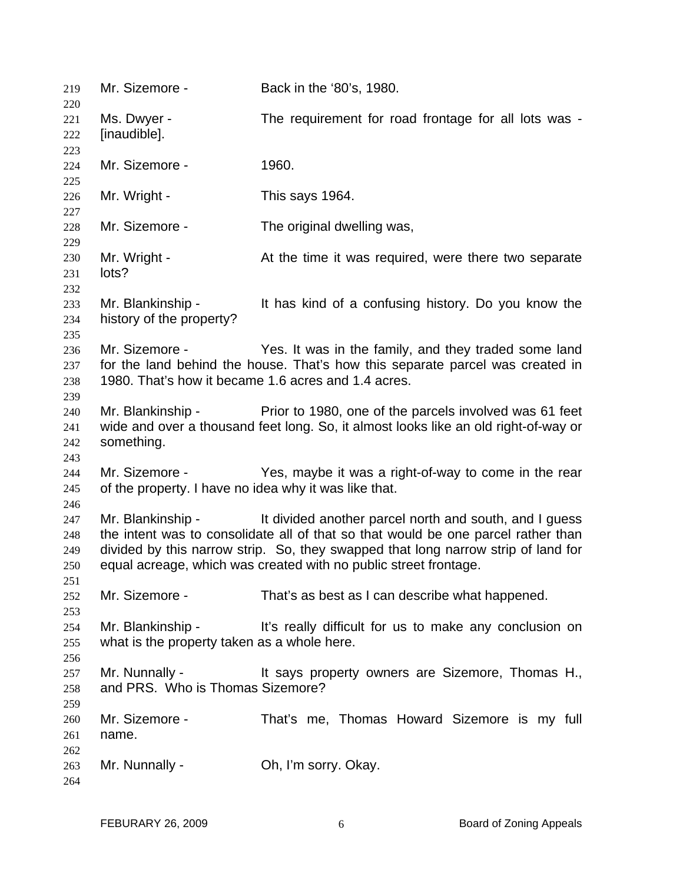| 219                             | Mr. Sizemore -                                                          | Back in the '80's, 1980.                                                                                                                                                                                                                                                                             |
|---------------------------------|-------------------------------------------------------------------------|------------------------------------------------------------------------------------------------------------------------------------------------------------------------------------------------------------------------------------------------------------------------------------------------------|
| 220<br>221<br>222<br>223        | Ms. Dwyer -<br>[inaudible].                                             | The requirement for road frontage for all lots was -                                                                                                                                                                                                                                                 |
| 224<br>225                      | Mr. Sizemore -                                                          | 1960.                                                                                                                                                                                                                                                                                                |
| 226<br>227                      | Mr. Wright -                                                            | This says 1964.                                                                                                                                                                                                                                                                                      |
| 228<br>229                      | Mr. Sizemore -                                                          | The original dwelling was,                                                                                                                                                                                                                                                                           |
| 230<br>231<br>232               | Mr. Wright -<br>lots?                                                   | At the time it was required, were there two separate                                                                                                                                                                                                                                                 |
| 233<br>234<br>235               | Mr. Blankinship -<br>history of the property?                           | It has kind of a confusing history. Do you know the                                                                                                                                                                                                                                                  |
| 236<br>237<br>238<br>239        | Mr. Sizemore -<br>1980. That's how it became 1.6 acres and 1.4 acres.   | Yes. It was in the family, and they traded some land<br>for the land behind the house. That's how this separate parcel was created in                                                                                                                                                                |
| 240<br>241<br>242<br>243        | Mr. Blankinship -<br>something.                                         | Prior to 1980, one of the parcels involved was 61 feet<br>wide and over a thousand feet long. So, it almost looks like an old right-of-way or                                                                                                                                                        |
| 244<br>245<br>246               | Mr. Sizemore -<br>of the property. I have no idea why it was like that. | Yes, maybe it was a right-of-way to come in the rear                                                                                                                                                                                                                                                 |
| 247<br>248<br>249<br>250<br>251 | Mr. Blankinship -                                                       | It divided another parcel north and south, and I guess<br>the intent was to consolidate all of that so that would be one parcel rather than<br>divided by this narrow strip. So, they swapped that long narrow strip of land for<br>equal acreage, which was created with no public street frontage. |
| 252<br>253                      | Mr. Sizemore -                                                          | That's as best as I can describe what happened.                                                                                                                                                                                                                                                      |
| 254<br>255<br>256               | Mr. Blankinship -<br>what is the property taken as a whole here.        | It's really difficult for us to make any conclusion on                                                                                                                                                                                                                                               |
| 257<br>258<br>259               | Mr. Nunnally -<br>and PRS. Who is Thomas Sizemore?                      | It says property owners are Sizemore, Thomas H.,                                                                                                                                                                                                                                                     |
| 260<br>261<br>262               | Mr. Sizemore -<br>name.                                                 | That's me, Thomas Howard Sizemore is my full                                                                                                                                                                                                                                                         |
| 263<br>264                      | Mr. Nunnally -                                                          | Oh, I'm sorry. Okay.                                                                                                                                                                                                                                                                                 |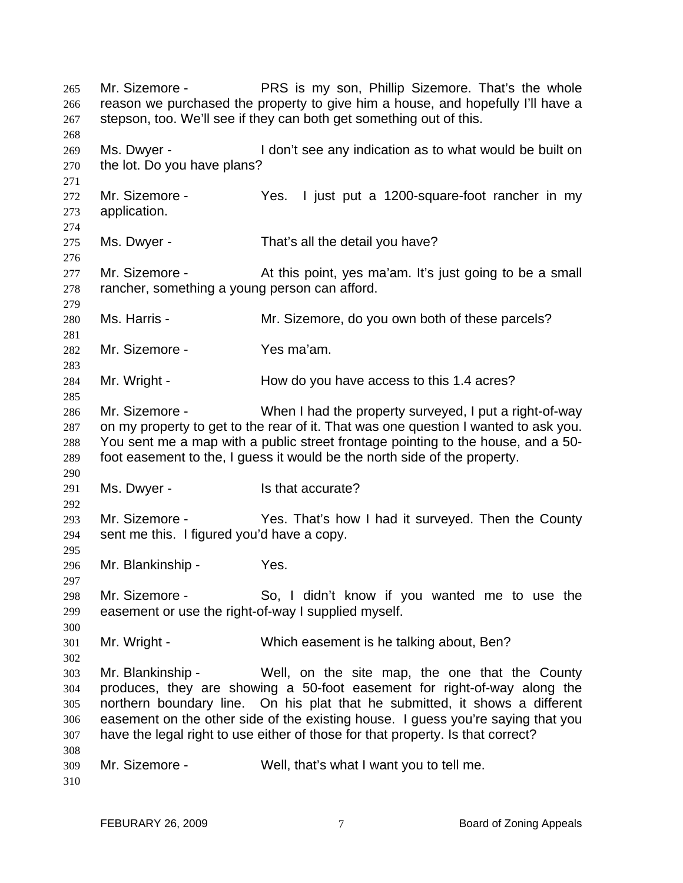Mr. Sizemore - **PRS** is my son, Phillip Sizemore. That's the whole reason we purchased the property to give him a house, and hopefully I'll have a stepson, too. We'll see if they can both get something out of this. 265 266 267 268 269 270 271 272 273 274 275 276 277 278 279 280 281 282 283 284 285 286 287 288 289 290 291 292 293 294 295 296 297 298 299 300 301 302 303 304 305 306 307 308 309 310 Ms. Dwyer - I don't see any indication as to what would be built on the lot. Do you have plans? Mr. Sizemore - The Yes. I just put a 1200-square-foot rancher in my application. Ms. Dwyer - That's all the detail you have? Mr. Sizemore - At this point, yes ma'am. It's just going to be a small rancher, something a young person can afford. Ms. Harris - The Mr. Sizemore, do you own both of these parcels? Mr. Sizemore - Yes ma'am. Mr. Wright - How do you have access to this 1.4 acres? Mr. Sizemore - When I had the property surveyed, I put a right-of-way on my property to get to the rear of it. That was one question I wanted to ask you. You sent me a map with a public street frontage pointing to the house, and a 50 foot easement to the, I guess it would be the north side of the property. Ms. Dwyer - Is that accurate? Mr. Sizemore - Thes. That's how I had it surveyed. Then the County sent me this. I figured you'd have a copy. Mr. Blankinship - Yes. Mr. Sizemore - So, I didn't know if you wanted me to use the easement or use the right-of-way I supplied myself. Mr. Wright - Which easement is he talking about, Ben? Mr. Blankinship - Well, on the site map, the one that the County produces, they are showing a 50-foot easement for right-of-way along the northern boundary line. On his plat that he submitted, it shows a different easement on the other side of the existing house. I guess you're saying that you have the legal right to use either of those for that property. Is that correct? Mr. Sizemore - Well, that's what I want you to tell me.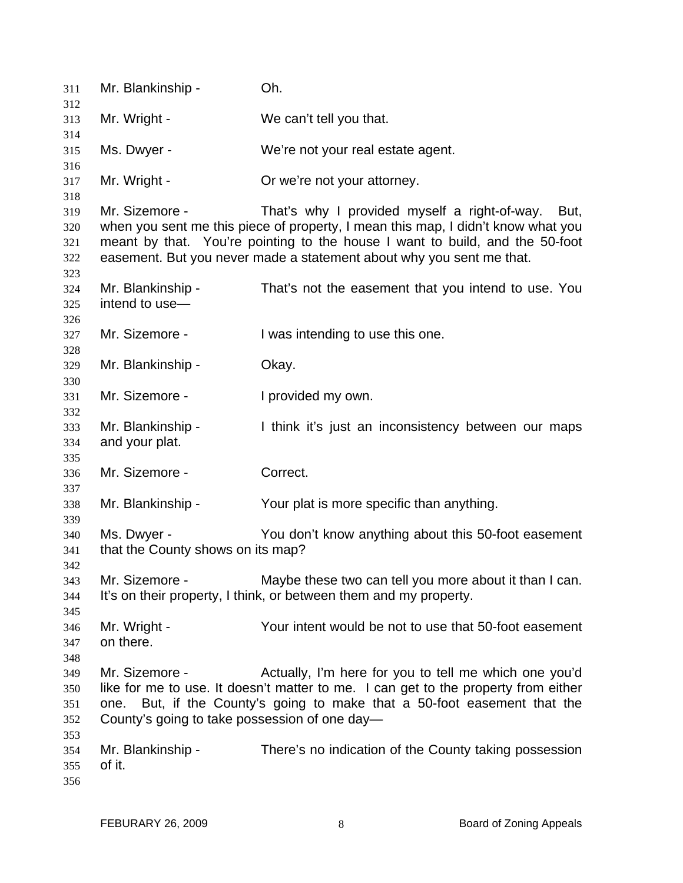| 311               | Mr. Blankinship -                             | Oh.                                                                                                                                                  |  |
|-------------------|-----------------------------------------------|------------------------------------------------------------------------------------------------------------------------------------------------------|--|
| 312               |                                               |                                                                                                                                                      |  |
| 313               | Mr. Wright -                                  | We can't tell you that.                                                                                                                              |  |
| 314<br>315        | Ms. Dwyer -                                   | We're not your real estate agent.                                                                                                                    |  |
| 316<br>317        | Mr. Wright -                                  | Or we're not your attorney.                                                                                                                          |  |
| 318               |                                               |                                                                                                                                                      |  |
| 319<br>320        | Mr. Sizemore -                                | That's why I provided myself a right-of-way.<br>But,<br>when you sent me this piece of property, I mean this map, I didn't know what you             |  |
| 321<br>322        |                                               | meant by that. You're pointing to the house I want to build, and the 50-foot<br>easement. But you never made a statement about why you sent me that. |  |
| 323<br>324        | Mr. Blankinship -<br>intend to use-           | That's not the easement that you intend to use. You                                                                                                  |  |
| 325               |                                               |                                                                                                                                                      |  |
| 326               | Mr. Sizemore -                                |                                                                                                                                                      |  |
| 327<br>328        |                                               | I was intending to use this one.                                                                                                                     |  |
| 329               | Mr. Blankinship -                             | Okay.                                                                                                                                                |  |
| 330               |                                               |                                                                                                                                                      |  |
| 331               | Mr. Sizemore -                                | I provided my own.                                                                                                                                   |  |
| 332               |                                               |                                                                                                                                                      |  |
| 333               | Mr. Blankinship -                             | I think it's just an inconsistency between our maps                                                                                                  |  |
| 334               | and your plat.                                |                                                                                                                                                      |  |
| 335               |                                               |                                                                                                                                                      |  |
| 336               | Mr. Sizemore -                                | Correct.                                                                                                                                             |  |
| 337               |                                               |                                                                                                                                                      |  |
| 338<br>339        | Mr. Blankinship -                             | Your plat is more specific than anything.                                                                                                            |  |
| 340               | Ms. Dwyer -                                   | You don't know anything about this 50-foot easement                                                                                                  |  |
| 341<br>342        | that the County shows on its map?             |                                                                                                                                                      |  |
| 343               | Mr. Sizemore -                                | Maybe these two can tell you more about it than I can.                                                                                               |  |
| 344               |                                               | It's on their property, I think, or between them and my property.                                                                                    |  |
| 345               |                                               |                                                                                                                                                      |  |
| 346               | Mr. Wright -                                  | Your intent would be not to use that 50-foot easement                                                                                                |  |
| 347               | on there.                                     |                                                                                                                                                      |  |
| 348               |                                               |                                                                                                                                                      |  |
| 349               | Mr. Sizemore -                                | Actually, I'm here for you to tell me which one you'd                                                                                                |  |
| 350               |                                               | like for me to use. It doesn't matter to me. I can get to the property from either                                                                   |  |
| 351               | one.                                          | But, if the County's going to make that a 50-foot easement that the                                                                                  |  |
| 352               | County's going to take possession of one day- |                                                                                                                                                      |  |
| 353               |                                               |                                                                                                                                                      |  |
| 354<br>355<br>356 | Mr. Blankinship -<br>of it.                   | There's no indication of the County taking possession                                                                                                |  |
|                   |                                               |                                                                                                                                                      |  |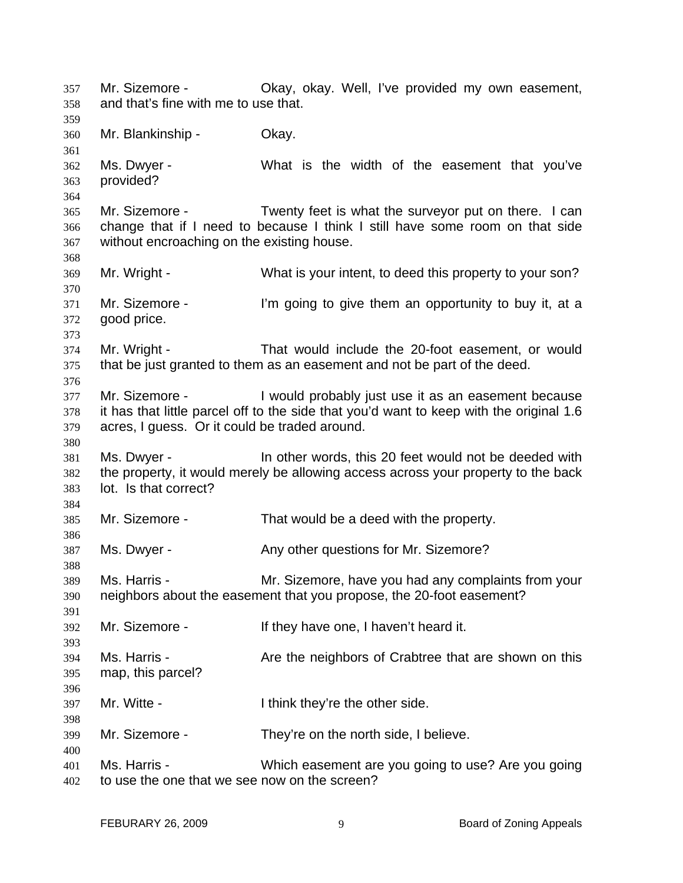Mr. Sizemore - Okay, okay. Well, I've provided my own easement, and that's fine with me to use that. 357 358 359 360 361 362 363 364 365 366 367 368 369 370 371 372 373 374 375 376 377 378 379 380 381 382 383 384 385 386 387 388 389 390 391 392 393 394 395 396 397 398 399 400 401 402 Mr. Blankinship - Okay. Ms. Dwyer - What is the width of the easement that you've provided? Mr. Sizemore - Twenty feet is what the surveyor put on there. I can change that if I need to because I think I still have some room on that side without encroaching on the existing house. Mr. Wright - What is your intent, to deed this property to your son? Mr. Sizemore - I'm going to give them an opportunity to buy it, at a good price. Mr. Wright - That would include the 20-foot easement, or would that be just granted to them as an easement and not be part of the deed. Mr. Sizemore - I would probably just use it as an easement because it has that little parcel off to the side that you'd want to keep with the original 1.6 acres, I guess. Or it could be traded around. Ms. Dwyer - In other words, this 20 feet would not be deeded with the property, it would merely be allowing access across your property to the back lot. Is that correct? Mr. Sizemore - That would be a deed with the property. Ms. Dwyer - The Controllery other questions for Mr. Sizemore? Ms. Harris - Mr. Sizemore, have you had any complaints from your neighbors about the easement that you propose, the 20-foot easement? Mr. Sizemore - They have one, I haven't heard it. Ms. Harris - The Are the neighbors of Crabtree that are shown on this map, this parcel? Mr. Witte - Think they're the other side. Mr. Sizemore - They're on the north side, I believe. Ms. Harris - Which easement are you going to use? Are you going to use the one that we see now on the screen?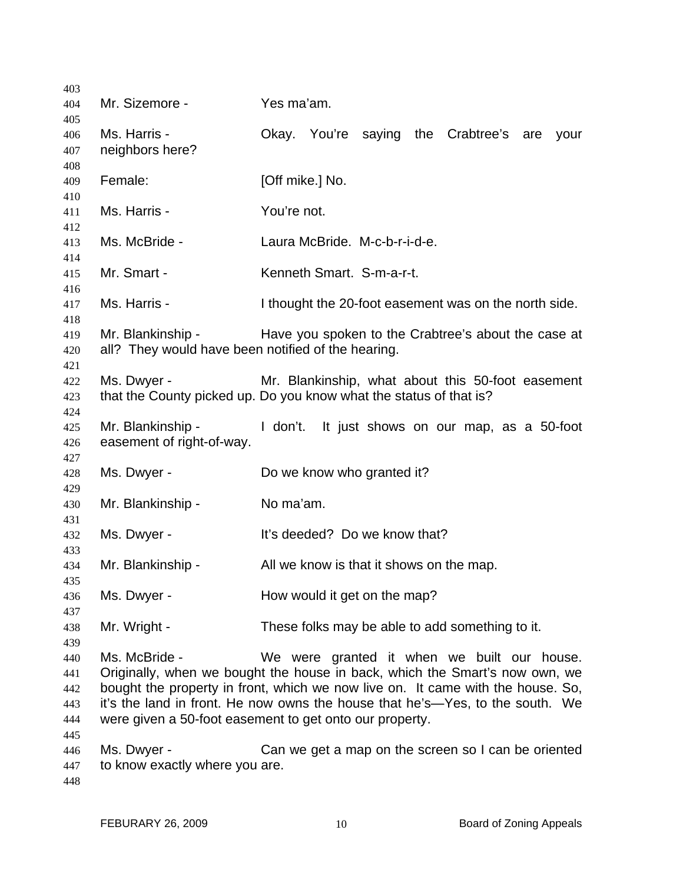| 403        |                                                    |                                                                                 |
|------------|----------------------------------------------------|---------------------------------------------------------------------------------|
| 404        | Mr. Sizemore -                                     | Yes ma'am.                                                                      |
| 405        |                                                    |                                                                                 |
| 406        | Ms. Harris -                                       | Okay. You're<br>the Crabtree's are<br>saying<br>your                            |
| 407        | neighbors here?                                    |                                                                                 |
| 408        |                                                    |                                                                                 |
| 409        | Female:                                            | [Off mike.] No.                                                                 |
| 410        |                                                    |                                                                                 |
| 411        | Ms. Harris -                                       | You're not.                                                                     |
| 412        | Ms. McBride -                                      | Laura McBride. M-c-b-r-i-d-e.                                                   |
| 413<br>414 |                                                    |                                                                                 |
| 415        | Mr. Smart -                                        | Kenneth Smart. S-m-a-r-t.                                                       |
| 416        |                                                    |                                                                                 |
| 417        | Ms. Harris -                                       | I thought the 20-foot easement was on the north side.                           |
| 418        |                                                    |                                                                                 |
| 419        | Mr. Blankinship -                                  | Have you spoken to the Crabtree's about the case at                             |
| 420        | all? They would have been notified of the hearing. |                                                                                 |
| 421        |                                                    |                                                                                 |
| 422        | Ms. Dwyer -                                        | Mr. Blankinship, what about this 50-foot easement                               |
| 423        |                                                    | that the County picked up. Do you know what the status of that is?              |
| 424        |                                                    |                                                                                 |
| 425        | Mr. Blankinship -                                  | I don't.<br>It just shows on our map, as a 50-foot                              |
| 426        | easement of right-of-way.                          |                                                                                 |
| 427        |                                                    |                                                                                 |
| 428        | Ms. Dwyer -                                        | Do we know who granted it?                                                      |
| 429        |                                                    |                                                                                 |
| 430        | Mr. Blankinship -                                  | No ma'am.                                                                       |
| 431        |                                                    |                                                                                 |
| 432        | Ms. Dwyer -                                        | It's deeded? Do we know that?                                                   |
| 433        |                                                    |                                                                                 |
| 434        | Mr. Blankinship -                                  | All we know is that it shows on the map.                                        |
| 435<br>436 | Ms. Dwyer -                                        | How would it get on the map?                                                    |
| 437        |                                                    |                                                                                 |
| 438        | Mr. Wright -                                       | These folks may be able to add something to it.                                 |
| 439        |                                                    |                                                                                 |
| 440        | Ms. McBride -                                      | We were granted it when we built our house.                                     |
| 441        |                                                    | Originally, when we bought the house in back, which the Smart's now own, we     |
| 442        |                                                    | bought the property in front, which we now live on. It came with the house. So, |
| 443        |                                                    | it's the land in front. He now owns the house that he's—Yes, to the south. We   |
| 444        |                                                    | were given a 50-foot easement to get onto our property.                         |
| 445        |                                                    |                                                                                 |
| 446        | Ms. Dwyer -                                        | Can we get a map on the screen so I can be oriented                             |
| 447        | to know exactly where you are.                     |                                                                                 |
| 448        |                                                    |                                                                                 |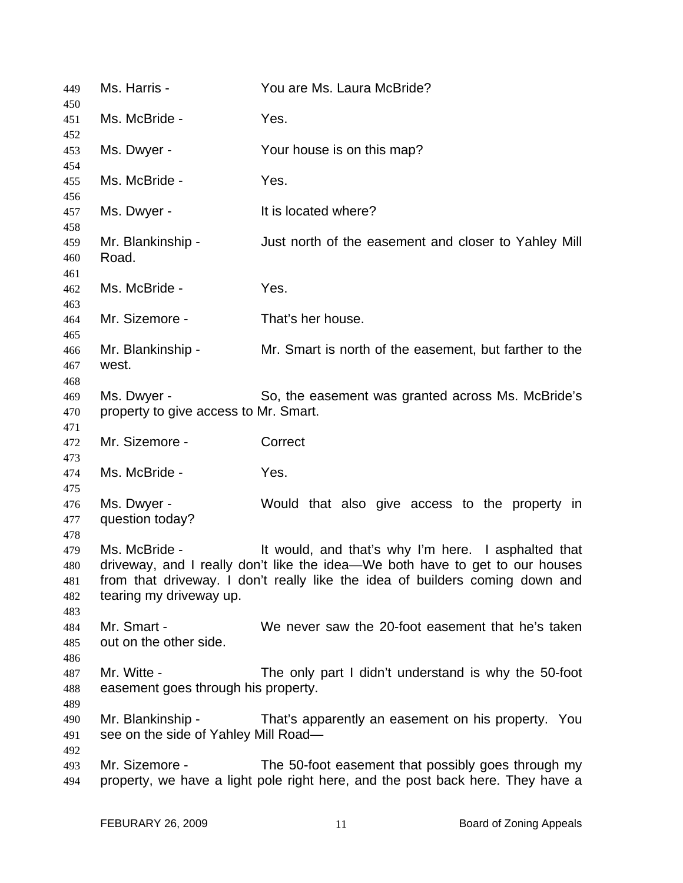| 449                             | Ms. Harris -                                              | You are Ms. Laura McBride?                                                                                                                                                                                          |
|---------------------------------|-----------------------------------------------------------|---------------------------------------------------------------------------------------------------------------------------------------------------------------------------------------------------------------------|
| 450<br>451                      | Ms. McBride -                                             | Yes.                                                                                                                                                                                                                |
| 452<br>453                      | Ms. Dwyer -                                               | Your house is on this map?                                                                                                                                                                                          |
| 454<br>455                      | Ms. McBride -                                             | Yes.                                                                                                                                                                                                                |
| 456<br>457                      | Ms. Dwyer -                                               | It is located where?                                                                                                                                                                                                |
| 458<br>459<br>460               | Mr. Blankinship -<br>Road.                                | Just north of the easement and closer to Yahley Mill                                                                                                                                                                |
| 461<br>462                      | Ms. McBride -                                             | Yes.                                                                                                                                                                                                                |
| 463<br>464                      | Mr. Sizemore -                                            | That's her house.                                                                                                                                                                                                   |
| 465<br>466<br>467               | Mr. Blankinship -<br>west.                                | Mr. Smart is north of the easement, but farther to the                                                                                                                                                              |
| 468<br>469<br>470               | Ms. Dwyer -<br>property to give access to Mr. Smart.      | So, the easement was granted across Ms. McBride's                                                                                                                                                                   |
| 471<br>472                      | Mr. Sizemore -                                            | Correct                                                                                                                                                                                                             |
| 473<br>474                      | Ms. McBride -                                             | Yes.                                                                                                                                                                                                                |
| 475<br>476<br>477<br>478        | Ms. Dwyer -<br>question today?                            | Would that also give access to the property in                                                                                                                                                                      |
| 479<br>480<br>481<br>482<br>483 | Ms. McBride -<br>tearing my driveway up.                  | It would, and that's why I'm here. I asphalted that<br>driveway, and I really don't like the idea-We both have to get to our houses<br>from that driveway. I don't really like the idea of builders coming down and |
| 484<br>485                      | Mr. Smart -<br>out on the other side.                     | We never saw the 20-foot easement that he's taken                                                                                                                                                                   |
| 486<br>487<br>488               | Mr. Witte -<br>easement goes through his property.        | The only part I didn't understand is why the 50-foot                                                                                                                                                                |
| 489<br>490<br>491               | Mr. Blankinship -<br>see on the side of Yahley Mill Road- | That's apparently an easement on his property. You                                                                                                                                                                  |
| 492<br>493<br>494               | Mr. Sizemore -                                            | The 50-foot easement that possibly goes through my<br>property, we have a light pole right here, and the post back here. They have a                                                                                |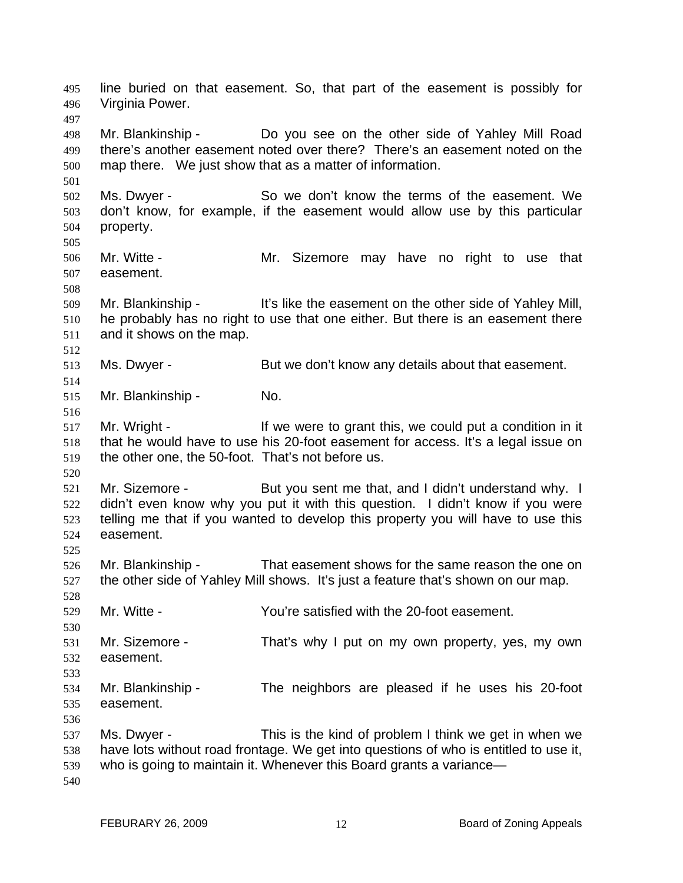line buried on that easement. So, that part of the easement is possibly for Virginia Power. 495 496 497 498 499 500 501 502 503 504 505 506 507 508 509 510 511 512 513 514 515 516 517 518 519 520 521 522 523 524 525 526 527 528 529 530 531 532 533 534 535 536 537 538 539 540 Mr. Blankinship - Do you see on the other side of Yahley Mill Road there's another easement noted over there? There's an easement noted on the map there. We just show that as a matter of information. Ms. Dwyer - So we don't know the terms of the easement. We don't know, for example, if the easement would allow use by this particular property. Mr. Witte - The Mr. Sizemore may have no right to use that easement. Mr. Blankinship - It's like the easement on the other side of Yahley Mill, he probably has no right to use that one either. But there is an easement there and it shows on the map. Ms. Dwyer - But we don't know any details about that easement. Mr. Blankinship - No. Mr. Wright - The Me were to grant this, we could put a condition in it that he would have to use his 20-foot easement for access. It's a legal issue on the other one, the 50-foot. That's not before us. Mr. Sizemore - But you sent me that, and I didn't understand why. I didn't even know why you put it with this question. I didn't know if you were telling me that if you wanted to develop this property you will have to use this easement. Mr. Blankinship - That easement shows for the same reason the one on the other side of Yahley Mill shows. It's just a feature that's shown on our map. Mr. Witte - You're satisfied with the 20-foot easement. Mr. Sizemore - That's why I put on my own property, yes, my own easement. Mr. Blankinship - The neighbors are pleased if he uses his 20-foot easement. Ms. Dwyer - This is the kind of problem I think we get in when we have lots without road frontage. We get into questions of who is entitled to use it, who is going to maintain it. Whenever this Board grants a variance—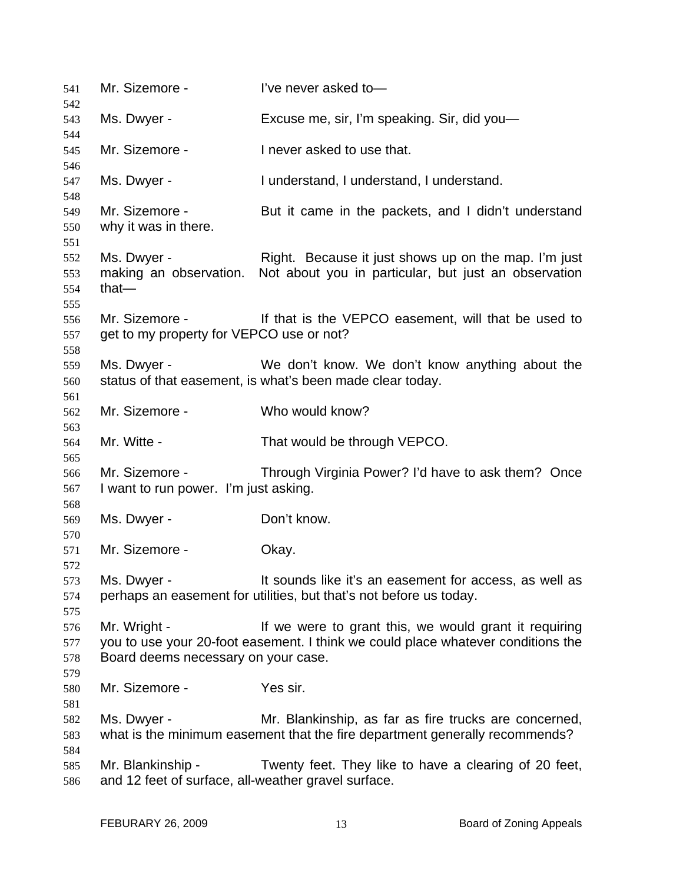| 541                      | Mr. Sizemore -                                                           | I've never asked to-                                                                                                                      |
|--------------------------|--------------------------------------------------------------------------|-------------------------------------------------------------------------------------------------------------------------------------------|
| 542<br>543               | Ms. Dwyer -                                                              | Excuse me, sir, I'm speaking. Sir, did you-                                                                                               |
| 544<br>545               | Mr. Sizemore -                                                           | I never asked to use that.                                                                                                                |
| 546                      |                                                                          |                                                                                                                                           |
| 547                      | Ms. Dwyer -                                                              | I understand, I understand, I understand.                                                                                                 |
| 548<br>549<br>550<br>551 | Mr. Sizemore -<br>why it was in there.                                   | But it came in the packets, and I didn't understand                                                                                       |
| 552<br>553<br>554<br>555 | Ms. Dwyer -<br>making an observation.<br>that $-$                        | Right. Because it just shows up on the map. I'm just<br>Not about you in particular, but just an observation                              |
| 556<br>557               | Mr. Sizemore -<br>get to my property for VEPCO use or not?               | If that is the VEPCO easement, will that be used to                                                                                       |
| 558<br>559<br>560        | Ms. Dwyer -                                                              | We don't know. We don't know anything about the<br>status of that easement, is what's been made clear today.                              |
| 561<br>562<br>563        | Mr. Sizemore -                                                           | Who would know?                                                                                                                           |
| 564<br>565               | Mr. Witte -                                                              | That would be through VEPCO.                                                                                                              |
| 566<br>567               | Mr. Sizemore -<br>I want to run power. I'm just asking.                  | Through Virginia Power? I'd have to ask them? Once                                                                                        |
| 568<br>569               | Ms. Dwyer -                                                              | Don't know.                                                                                                                               |
| 570<br>571<br>572        | Mr. Sizemore -                                                           | Okay.                                                                                                                                     |
| 573<br>574<br>575        | Ms. Dwyer -                                                              | It sounds like it's an easement for access, as well as<br>perhaps an easement for utilities, but that's not before us today.              |
| 576<br>577<br>578<br>579 | Mr. Wright -<br>Board deems necessary on your case.                      | If we were to grant this, we would grant it requiring<br>you to use your 20-foot easement. I think we could place whatever conditions the |
| 580<br>581               | Mr. Sizemore -                                                           | Yes sir.                                                                                                                                  |
| 582<br>583               | Ms. Dwyer -                                                              | Mr. Blankinship, as far as fire trucks are concerned,<br>what is the minimum easement that the fire department generally recommends?      |
| 584<br>585<br>586        | Mr. Blankinship -<br>and 12 feet of surface, all-weather gravel surface. | Twenty feet. They like to have a clearing of 20 feet,                                                                                     |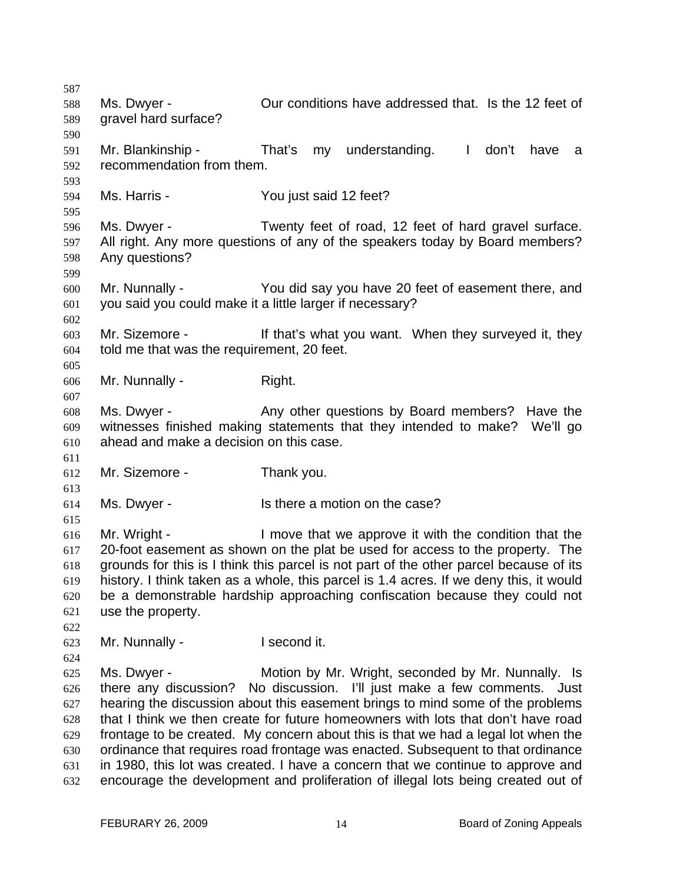587 588 589 590 591 592 593 594 595 596 597 598 599 600 601 602 603 604 605 606 607 608 609 610 611 612 613 614 615 616 617 618 619 620 621 622 623 624 625 626 627 628 629 630 631 632 Ms. Dwyer - Our conditions have addressed that. Is the 12 feet of gravel hard surface? Mr. Blankinship - That's my understanding. I don't have a recommendation from them. Ms. Harris - You just said 12 feet? Ms. Dwyer - Twenty feet of road, 12 feet of hard gravel surface. All right. Any more questions of any of the speakers today by Board members? Any questions? Mr. Nunnally - You did say you have 20 feet of easement there, and you said you could make it a little larger if necessary? Mr. Sizemore - The state of that's what you want. When they surveyed it, they told me that was the requirement, 20 feet. Mr. Nunnally - Right. Ms. Dwyer - Any other questions by Board members? Have the witnesses finished making statements that they intended to make? We'll go ahead and make a decision on this case. Mr. Sizemore - Thank you. Ms. Dwyer - Is there a motion on the case? Mr. Wright - I move that we approve it with the condition that the 20-foot easement as shown on the plat be used for access to the property. The grounds for this is I think this parcel is not part of the other parcel because of its history. I think taken as a whole, this parcel is 1.4 acres. If we deny this, it would be a demonstrable hardship approaching confiscation because they could not use the property. Mr. Nunnally - I second it. Ms. Dwyer - Motion by Mr. Wright, seconded by Mr. Nunnally. Is there any discussion? No discussion. I'll just make a few comments. Just hearing the discussion about this easement brings to mind some of the problems that I think we then create for future homeowners with lots that don't have road frontage to be created. My concern about this is that we had a legal lot when the ordinance that requires road frontage was enacted. Subsequent to that ordinance in 1980, this lot was created. I have a concern that we continue to approve and encourage the development and proliferation of illegal lots being created out of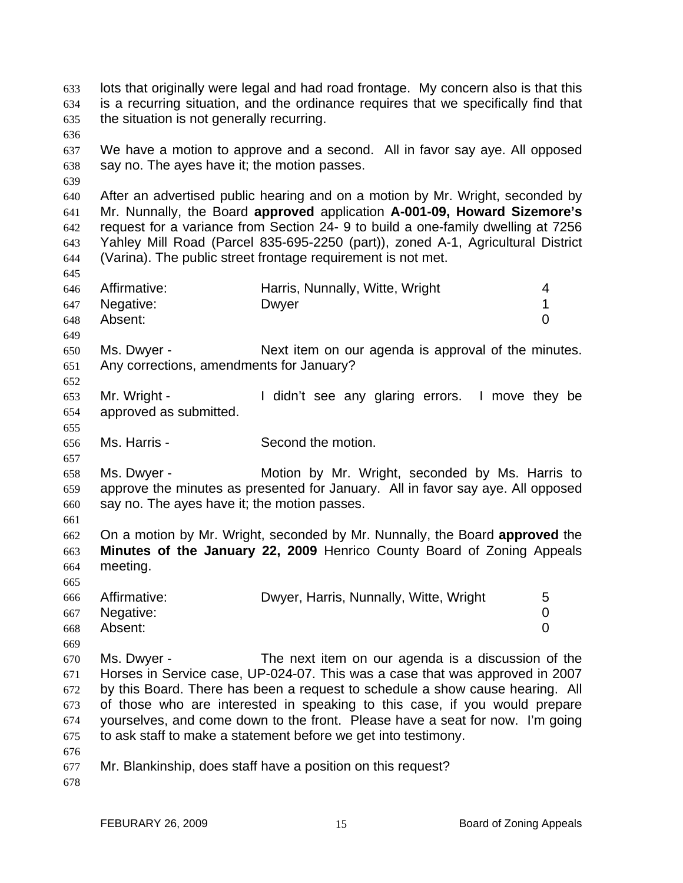lots that originally were legal and had road frontage. My concern also is that this is a recurring situation, and the ordinance requires that we specifically find that the situation is not generally recurring. 633 634 635 636 637 638 639 640 641 642 643 644 645 646 647 648 649 650 651 652 653 654 655 656 657 658 659 660 661 662 663 664 665 666 667 668 669 670 671 672 673 674 675 676 677 678 We have a motion to approve and a second. All in favor say aye. All opposed say no. The ayes have it; the motion passes. After an advertised public hearing and on a motion by Mr. Wright, seconded by Mr. Nunnally, the Board **approved** application **A-001-09, Howard Sizemore's** request for a variance from Section 24- 9 to build a one-family dwelling at 7256 Yahley Mill Road (Parcel 835-695-2250 (part)), zoned A-1, Agricultural District (Varina). The public street frontage requirement is not met. Affirmative: **Harris, Nunnally, Witte, Wright** 4 Negative: Dwyer 2009 During David Negative: 1 Absent: 0 Ms. Dwyer - Next item on our agenda is approval of the minutes. Any corrections, amendments for January? Mr. Wright - The Midn't see any glaring errors. I move they be approved as submitted. Ms. Harris - Second the motion. Ms. Dwyer - The Motion by Mr. Wright, seconded by Ms. Harris to approve the minutes as presented for January. All in favor say aye. All opposed say no. The ayes have it; the motion passes. On a motion by Mr. Wright, seconded by Mr. Nunnally, the Board **approved** the **Minutes of the January 22, 2009** Henrico County Board of Zoning Appeals meeting. Affirmative: **Dwyer, Harris, Nunnally, Witte, Wright** 5 Negative: 0 Absent: 0 Ms. Dwyer - The next item on our agenda is a discussion of the Horses in Service case, UP-024-07. This was a case that was approved in 2007 by this Board. There has been a request to schedule a show cause hearing. All of those who are interested in speaking to this case, if you would prepare yourselves, and come down to the front. Please have a seat for now. I'm going to ask staff to make a statement before we get into testimony. Mr. Blankinship, does staff have a position on this request?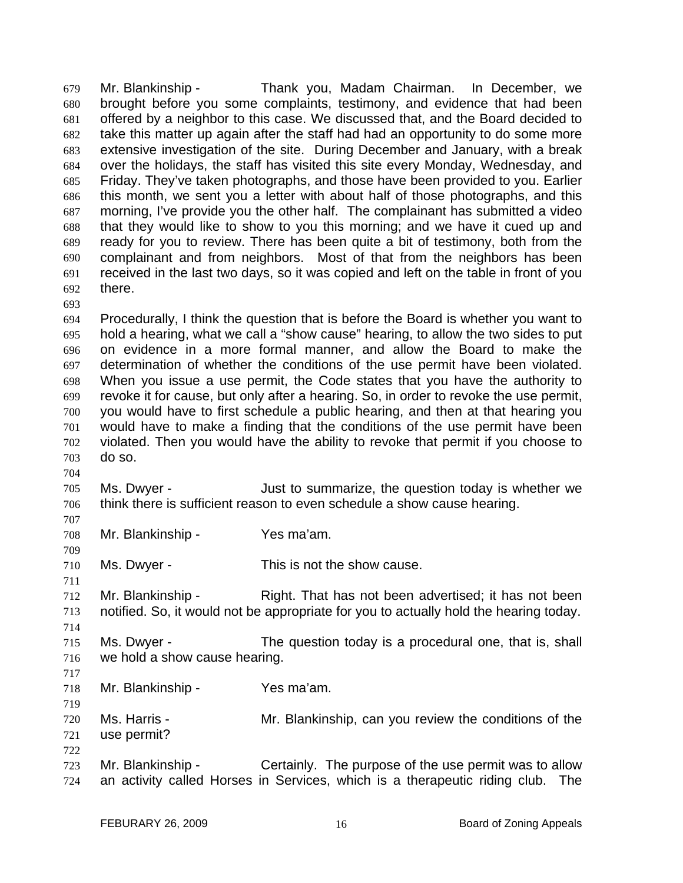Mr. Blankinship - Thank you, Madam Chairman. In December, we brought before you some complaints, testimony, and evidence that had been offered by a neighbor to this case. We discussed that, and the Board decided to take this matter up again after the staff had had an opportunity to do some more extensive investigation of the site. During December and January, with a break over the holidays, the staff has visited this site every Monday, Wednesday, and Friday. They've taken photographs, and those have been provided to you. Earlier this month, we sent you a letter with about half of those photographs, and this morning, I've provide you the other half. The complainant has submitted a video that they would like to show to you this morning; and we have it cued up and ready for you to review. There has been quite a bit of testimony, both from the complainant and from neighbors. Most of that from the neighbors has been received in the last two days, so it was copied and left on the table in front of you there. 679 680 681 682 683 684 685 686 687 688 689 690 691 692

693

704

707

709

711

714

694 695 696 697 698 699 700 701 702 703 Procedurally, I think the question that is before the Board is whether you want to hold a hearing, what we call a "show cause" hearing, to allow the two sides to put on evidence in a more formal manner, and allow the Board to make the determination of whether the conditions of the use permit have been violated. When you issue a use permit, the Code states that you have the authority to revoke it for cause, but only after a hearing. So, in order to revoke the use permit, you would have to first schedule a public hearing, and then at that hearing you would have to make a finding that the conditions of the use permit have been violated. Then you would have the ability to revoke that permit if you choose to do so.

705 706 Ms. Dwyer - Just to summarize, the question today is whether we think there is sufficient reason to even schedule a show cause hearing.

708 Mr. Blankinship - Yes ma'am.

710 Ms. Dwyer - This is not the show cause.

712 713 Mr. Blankinship - Right. That has not been advertised; it has not been notified. So, it would not be appropriate for you to actually hold the hearing today.

- 715 716 Ms. Dwyer - The question today is a procedural one, that is, shall we hold a show cause hearing.
- 717 718

719

- Mr. Blankinship Yes ma'am.
- 720 721 722 Ms. Harris - The Mr. Blankinship, can you review the conditions of the use permit?
- 723 724 Mr. Blankinship - Certainly. The purpose of the use permit was to allow an activity called Horses in Services, which is a therapeutic riding club. The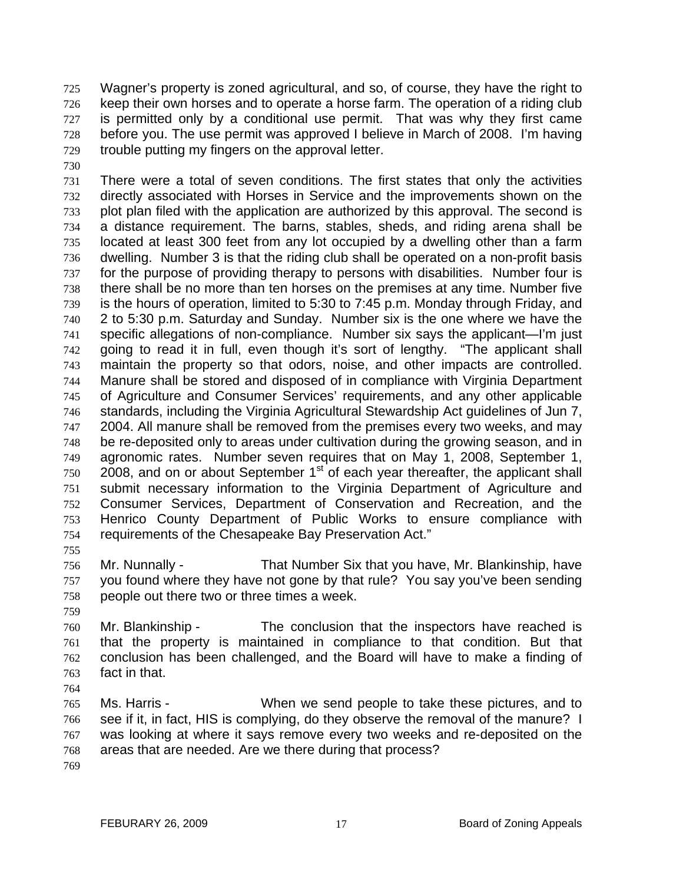Wagner's property is zoned agricultural, and so, of course, they have the right to keep their own horses and to operate a horse farm. The operation of a riding club is permitted only by a conditional use permit. That was why they first came before you. The use permit was approved I believe in March of 2008. I'm having trouble putting my fingers on the approval letter. 725 726 727 728 729

730

731 732 733 734 735 736 737 738 739 740 741 742 743 744 745 746 747 748 749 750 751 752 753 754 There were a total of seven conditions. The first states that only the activities directly associated with Horses in Service and the improvements shown on the plot plan filed with the application are authorized by this approval. The second is a distance requirement. The barns, stables, sheds, and riding arena shall be located at least 300 feet from any lot occupied by a dwelling other than a farm dwelling. Number 3 is that the riding club shall be operated on a non-profit basis for the purpose of providing therapy to persons with disabilities. Number four is there shall be no more than ten horses on the premises at any time. Number five is the hours of operation, limited to 5:30 to 7:45 p.m. Monday through Friday, and 2 to 5:30 p.m. Saturday and Sunday. Number six is the one where we have the specific allegations of non-compliance. Number six says the applicant—I'm just going to read it in full, even though it's sort of lengthy. "The applicant shall maintain the property so that odors, noise, and other impacts are controlled. Manure shall be stored and disposed of in compliance with Virginia Department of Agriculture and Consumer Services' requirements, and any other applicable standards, including the Virginia Agricultural Stewardship Act guidelines of Jun 7, 2004. All manure shall be removed from the premises every two weeks, and may be re-deposited only to areas under cultivation during the growing season, and in agronomic rates. Number seven requires that on May 1, 2008, September 1, 2008, and on or about September  $1<sup>st</sup>$  of each year thereafter, the applicant shall submit necessary information to the Virginia Department of Agriculture and Consumer Services, Department of Conservation and Recreation, and the Henrico County Department of Public Works to ensure compliance with requirements of the Chesapeake Bay Preservation Act."

756 757 758 Mr. Nunnally - That Number Six that you have, Mr. Blankinship, have you found where they have not gone by that rule? You say you've been sending people out there two or three times a week.

759

755

760 761 762 763 Mr. Blankinship - The conclusion that the inspectors have reached is that the property is maintained in compliance to that condition. But that conclusion has been challenged, and the Board will have to make a finding of fact in that.

764

765 766 767 768 Ms. Harris - When we send people to take these pictures, and to see if it, in fact, HIS is complying, do they observe the removal of the manure? I was looking at where it says remove every two weeks and re-deposited on the areas that are needed. Are we there during that process?

769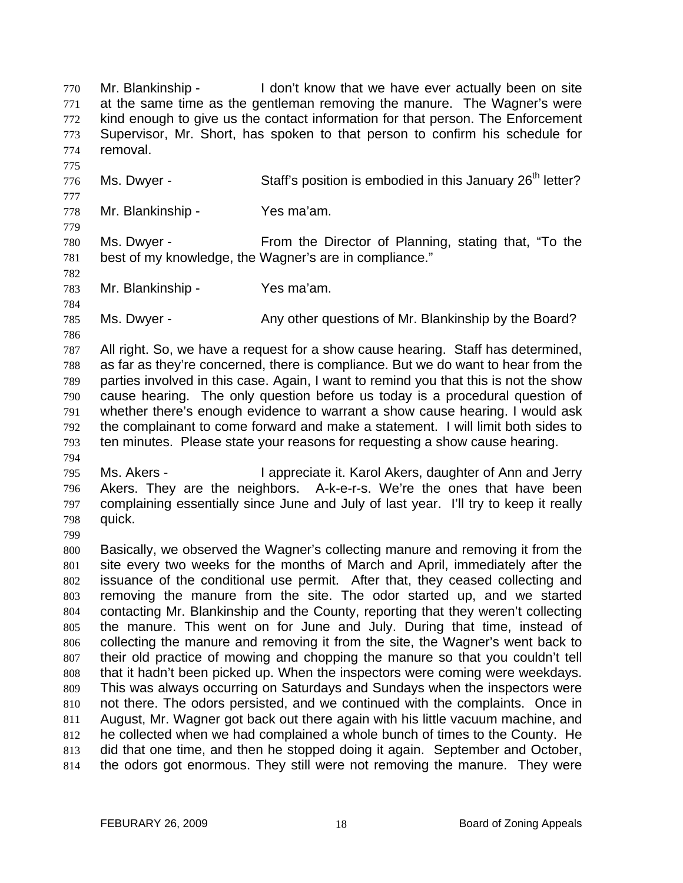Mr. Blankinship - The loom't know that we have ever actually been on site at the same time as the gentleman removing the manure. The Wagner's were kind enough to give us the contact information for that person. The Enforcement Supervisor, Mr. Short, has spoken to that person to confirm his schedule for removal. 770 771 772 773 774 775

776 Ms. Dwyer - Staff's position is embodied in this January 26<sup>th</sup> letter?

778 Mr. Blankinship - Yes ma'am.

780 781 Ms. Dwyer - From the Director of Planning, stating that, "To the best of my knowledge, the Wagner's are in compliance."

782 783 784

786

794

799

777

779

Mr. Blankinship - Yes ma'am.

785 Ms. Dwyer - Any other questions of Mr. Blankinship by the Board?

787 788 789 790 791 792 793 All right. So, we have a request for a show cause hearing. Staff has determined, as far as they're concerned, there is compliance. But we do want to hear from the parties involved in this case. Again, I want to remind you that this is not the show cause hearing. The only question before us today is a procedural question of whether there's enough evidence to warrant a show cause hearing. I would ask the complainant to come forward and make a statement. I will limit both sides to ten minutes. Please state your reasons for requesting a show cause hearing.

795 796 797 798 Ms. Akers - I appreciate it. Karol Akers, daughter of Ann and Jerry Akers. They are the neighbors. A-k-e-r-s. We're the ones that have been complaining essentially since June and July of last year. I'll try to keep it really quick.

800 801 802 803 804 805 806 807 808 809 810 811 812 813 814 Basically, we observed the Wagner's collecting manure and removing it from the site every two weeks for the months of March and April, immediately after the issuance of the conditional use permit. After that, they ceased collecting and removing the manure from the site. The odor started up, and we started contacting Mr. Blankinship and the County, reporting that they weren't collecting the manure. This went on for June and July. During that time, instead of collecting the manure and removing it from the site, the Wagner's went back to their old practice of mowing and chopping the manure so that you couldn't tell that it hadn't been picked up. When the inspectors were coming were weekdays. This was always occurring on Saturdays and Sundays when the inspectors were not there. The odors persisted, and we continued with the complaints. Once in August, Mr. Wagner got back out there again with his little vacuum machine, and he collected when we had complained a whole bunch of times to the County. He did that one time, and then he stopped doing it again. September and October, the odors got enormous. They still were not removing the manure. They were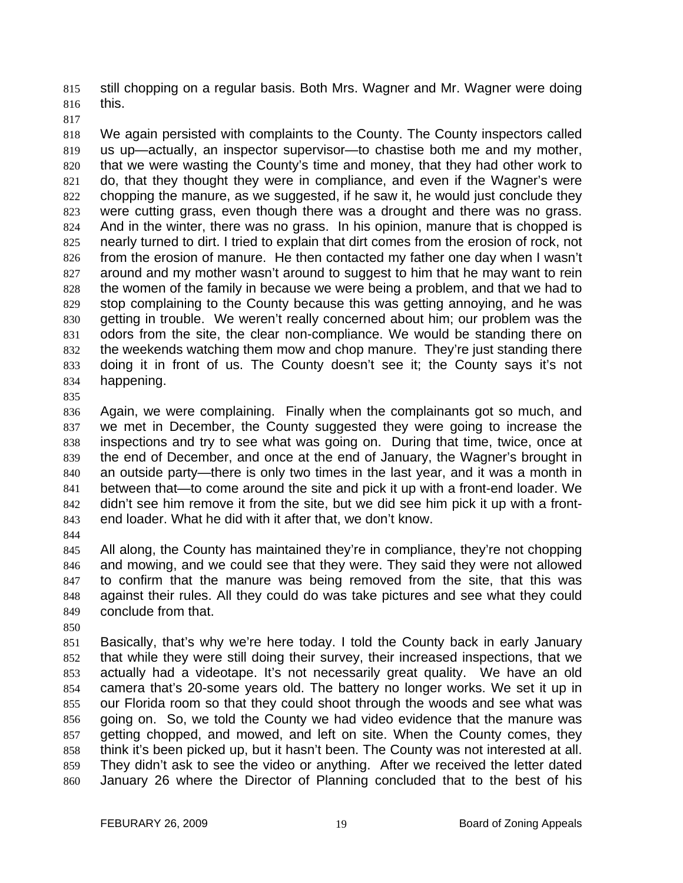still chopping on a regular basis. Both Mrs. Wagner and Mr. Wagner were doing this. 815 816

817

818 819 820 821 822 823 824 825 826 827 828 829 830 831 832 833 834 We again persisted with complaints to the County. The County inspectors called us up—actually, an inspector supervisor—to chastise both me and my mother, that we were wasting the County's time and money, that they had other work to do, that they thought they were in compliance, and even if the Wagner's were chopping the manure, as we suggested, if he saw it, he would just conclude they were cutting grass, even though there was a drought and there was no grass. And in the winter, there was no grass. In his opinion, manure that is chopped is nearly turned to dirt. I tried to explain that dirt comes from the erosion of rock, not from the erosion of manure. He then contacted my father one day when I wasn't around and my mother wasn't around to suggest to him that he may want to rein the women of the family in because we were being a problem, and that we had to stop complaining to the County because this was getting annoying, and he was getting in trouble. We weren't really concerned about him; our problem was the odors from the site, the clear non-compliance. We would be standing there on the weekends watching them mow and chop manure. They're just standing there doing it in front of us. The County doesn't see it; the County says it's not happening.

835

836 837 838 839 840 841 842 843 Again, we were complaining. Finally when the complainants got so much, and we met in December, the County suggested they were going to increase the inspections and try to see what was going on. During that time, twice, once at the end of December, and once at the end of January, the Wagner's brought in an outside party—there is only two times in the last year, and it was a month in between that—to come around the site and pick it up with a front-end loader. We didn't see him remove it from the site, but we did see him pick it up with a frontend loader. What he did with it after that, we don't know.

844

845 846 847 848 849 All along, the County has maintained they're in compliance, they're not chopping and mowing, and we could see that they were. They said they were not allowed to confirm that the manure was being removed from the site, that this was against their rules. All they could do was take pictures and see what they could conclude from that.

850

851 852 853 854 855 856 857 858 859 860 Basically, that's why we're here today. I told the County back in early January that while they were still doing their survey, their increased inspections, that we actually had a videotape. It's not necessarily great quality. We have an old camera that's 20-some years old. The battery no longer works. We set it up in our Florida room so that they could shoot through the woods and see what was going on. So, we told the County we had video evidence that the manure was getting chopped, and mowed, and left on site. When the County comes, they think it's been picked up, but it hasn't been. The County was not interested at all. They didn't ask to see the video or anything. After we received the letter dated January 26 where the Director of Planning concluded that to the best of his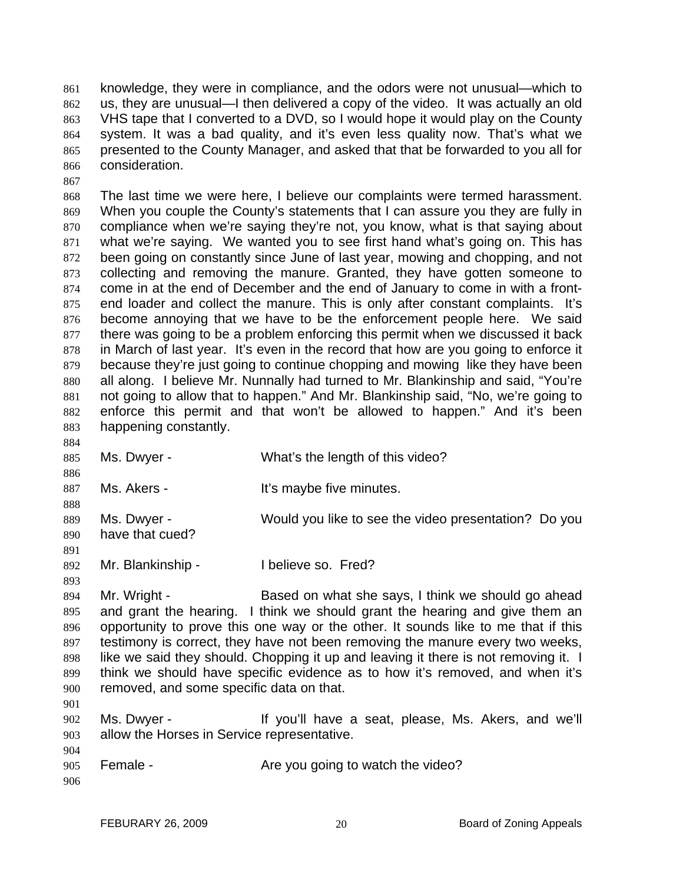knowledge, they were in compliance, and the odors were not unusual—which to us, they are unusual—I then delivered a copy of the video. It was actually an old VHS tape that I converted to a DVD, so I would hope it would play on the County system. It was a bad quality, and it's even less quality now. That's what we presented to the County Manager, and asked that that be forwarded to you all for consideration. 861 862 863 864 865 866

868 869 870 871 872 873 874 875 876 877 878 879 880 881 882 883 The last time we were here, I believe our complaints were termed harassment. When you couple the County's statements that I can assure you they are fully in compliance when we're saying they're not, you know, what is that saying about what we're saying. We wanted you to see first hand what's going on. This has been going on constantly since June of last year, mowing and chopping, and not collecting and removing the manure. Granted, they have gotten someone to come in at the end of December and the end of January to come in with a frontend loader and collect the manure. This is only after constant complaints. It's become annoying that we have to be the enforcement people here. We said there was going to be a problem enforcing this permit when we discussed it back in March of last year. It's even in the record that how are you going to enforce it because they're just going to continue chopping and mowing like they have been all along. I believe Mr. Nunnally had turned to Mr. Blankinship and said, "You're not going to allow that to happen." And Mr. Blankinship said, "No, we're going to enforce this permit and that won't be allowed to happen." And it's been happening constantly.

884 885 886 887 888 889 890 891 892 893 Ms. Dwyer - What's the length of this video? Ms. Akers - The Music Hit's maybe five minutes. Ms. Dwyer - Would you like to see the video presentation? Do you have that cued? Mr. Blankinship - Thelieve so. Fred?

894 895 896 897 898 899 900 901 Mr. Wright - Based on what she says, I think we should go ahead and grant the hearing. I think we should grant the hearing and give them an opportunity to prove this one way or the other. It sounds like to me that if this testimony is correct, they have not been removing the manure every two weeks, like we said they should. Chopping it up and leaving it there is not removing it. I think we should have specific evidence as to how it's removed, and when it's removed, and some specific data on that.

- 902 903 Ms. Dwyer - The Music of If you'll have a seat, please, Ms. Akers, and we'll allow the Horses in Service representative.
- 905 Female - The State of Are you going to watch the video?
- 906

904

867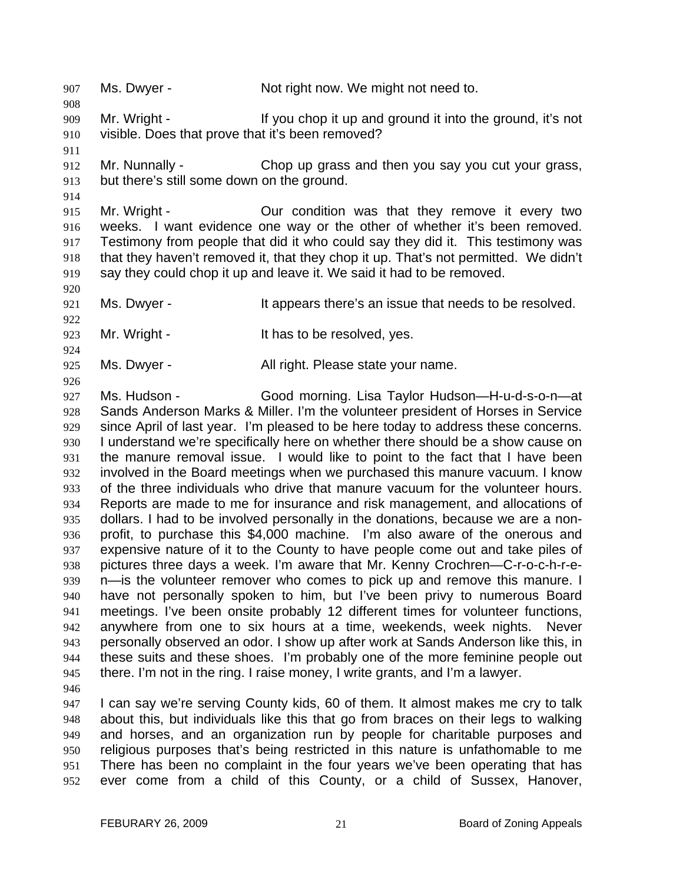908 909 910 Mr. Wright - If you chop it up and ground it into the ground, it's not visible. Does that prove that it's been removed?

907 Ms. Dwyer - Not right now. We might not need to.

911

914

920

922

924

926

912 913 Mr. Nunnally - Chop up grass and then you say you cut your grass, but there's still some down on the ground.

915 916 917 918 919 Mr. Wright - Our condition was that they remove it every two weeks. I want evidence one way or the other of whether it's been removed. Testimony from people that did it who could say they did it. This testimony was that they haven't removed it, that they chop it up. That's not permitted. We didn't say they could chop it up and leave it. We said it had to be removed.

921 Ms. Dwyer - The same strategies and it appears there's an issue that needs to be resolved.

923 Mr. Wright - The Music State of the State of the resolved, yes.

925 Ms. Dwyer - The Mall right. Please state your name.

927 928 929 930 931 932 933 934 935 936 937 938 939 940 941 942 943 944 945 Ms. Hudson - Good morning. Lisa Taylor Hudson—H-u-d-s-o-n—at Sands Anderson Marks & Miller. I'm the volunteer president of Horses in Service since April of last year. I'm pleased to be here today to address these concerns. I understand we're specifically here on whether there should be a show cause on the manure removal issue. I would like to point to the fact that I have been involved in the Board meetings when we purchased this manure vacuum. I know of the three individuals who drive that manure vacuum for the volunteer hours. Reports are made to me for insurance and risk management, and allocations of dollars. I had to be involved personally in the donations, because we are a nonprofit, to purchase this \$4,000 machine. I'm also aware of the onerous and expensive nature of it to the County to have people come out and take piles of pictures three days a week. I'm aware that Mr. Kenny Crochren—C-r-o-c-h-r-en—is the volunteer remover who comes to pick up and remove this manure. I have not personally spoken to him, but I've been privy to numerous Board meetings. I've been onsite probably 12 different times for volunteer functions, anywhere from one to six hours at a time, weekends, week nights. Never personally observed an odor. I show up after work at Sands Anderson like this, in these suits and these shoes. I'm probably one of the more feminine people out there. I'm not in the ring. I raise money, I write grants, and I'm a lawyer.

946

947 948 949 950 951 952 I can say we're serving County kids, 60 of them. It almost makes me cry to talk about this, but individuals like this that go from braces on their legs to walking and horses, and an organization run by people for charitable purposes and religious purposes that's being restricted in this nature is unfathomable to me There has been no complaint in the four years we've been operating that has ever come from a child of this County, or a child of Sussex, Hanover,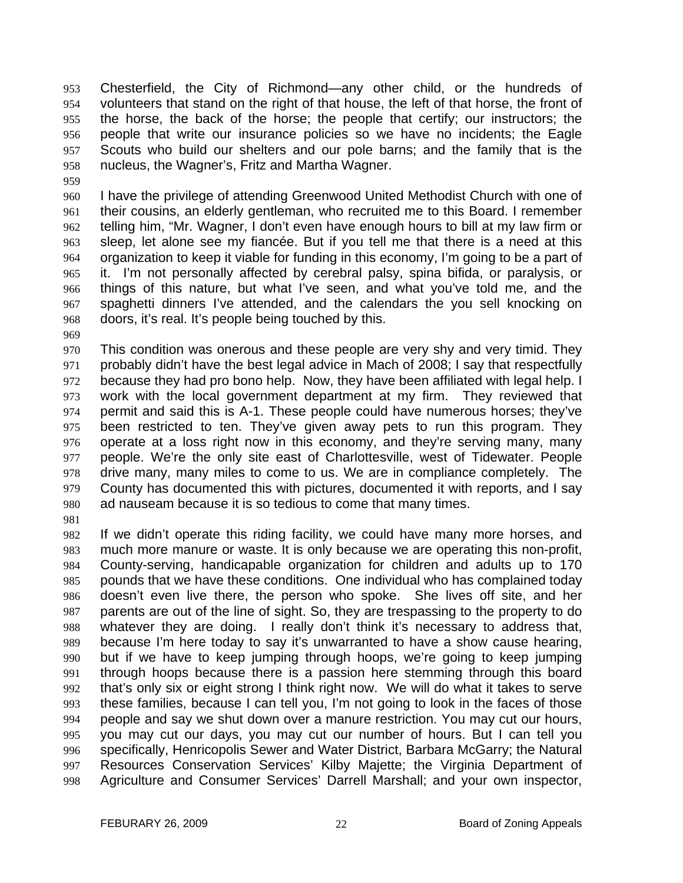Chesterfield, the City of Richmond—any other child, or the hundreds of volunteers that stand on the right of that house, the left of that horse, the front of the horse, the back of the horse; the people that certify; our instructors; the people that write our insurance policies so we have no incidents; the Eagle Scouts who build our shelters and our pole barns; and the family that is the nucleus, the Wagner's, Fritz and Martha Wagner. 953 954 955 956 957 958

- 960 961 962 963 964 965 966 967 968 I have the privilege of attending Greenwood United Methodist Church with one of their cousins, an elderly gentleman, who recruited me to this Board. I remember telling him, "Mr. Wagner, I don't even have enough hours to bill at my law firm or sleep, let alone see my fiancée. But if you tell me that there is a need at this organization to keep it viable for funding in this economy, I'm going to be a part of it. I'm not personally affected by cerebral palsy, spina bifida, or paralysis, or things of this nature, but what I've seen, and what you've told me, and the spaghetti dinners I've attended, and the calendars the you sell knocking on doors, it's real. It's people being touched by this.
- 969

959

970 971 972 973 974 975 976 977 978 979 980 This condition was onerous and these people are very shy and very timid. They probably didn't have the best legal advice in Mach of 2008; I say that respectfully because they had pro bono help. Now, they have been affiliated with legal help. I work with the local government department at my firm. They reviewed that permit and said this is A-1. These people could have numerous horses; they've been restricted to ten. They've given away pets to run this program. They operate at a loss right now in this economy, and they're serving many, many people. We're the only site east of Charlottesville, west of Tidewater. People drive many, many miles to come to us. We are in compliance completely. The County has documented this with pictures, documented it with reports, and I say ad nauseam because it is so tedious to come that many times.

981

982 983 984 985 986 987 988 989 990 991 992 993 994 995 996 997 998 If we didn't operate this riding facility, we could have many more horses, and much more manure or waste. It is only because we are operating this non-profit, County-serving, handicapable organization for children and adults up to 170 pounds that we have these conditions. One individual who has complained today doesn't even live there, the person who spoke. She lives off site, and her parents are out of the line of sight. So, they are trespassing to the property to do whatever they are doing. I really don't think it's necessary to address that, because I'm here today to say it's unwarranted to have a show cause hearing, but if we have to keep jumping through hoops, we're going to keep jumping through hoops because there is a passion here stemming through this board that's only six or eight strong I think right now. We will do what it takes to serve these families, because I can tell you, I'm not going to look in the faces of those people and say we shut down over a manure restriction. You may cut our hours, you may cut our days, you may cut our number of hours. But I can tell you specifically, Henricopolis Sewer and Water District, Barbara McGarry; the Natural Resources Conservation Services' Kilby Majette; the Virginia Department of Agriculture and Consumer Services' Darrell Marshall; and your own inspector,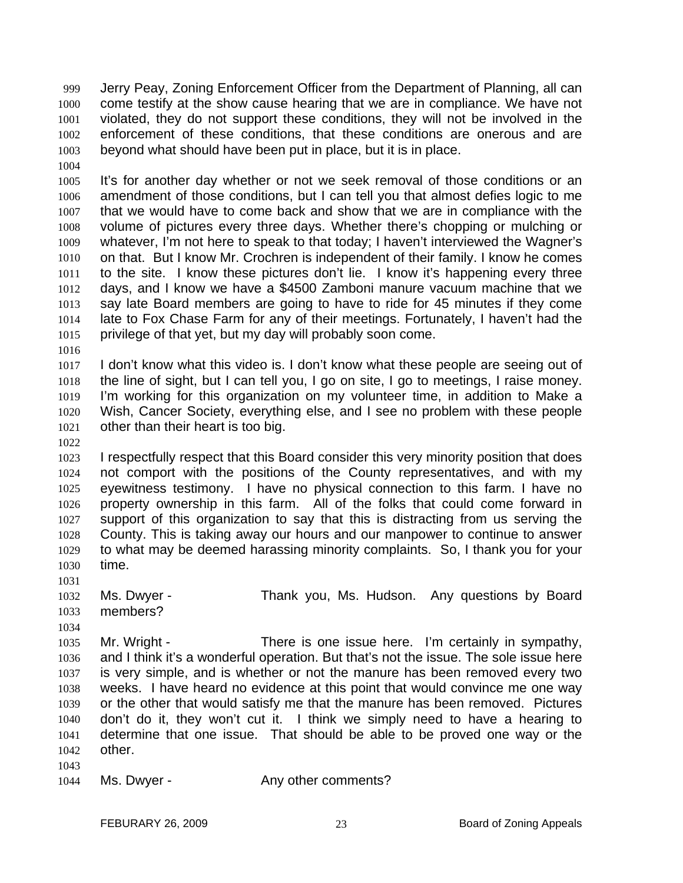Jerry Peay, Zoning Enforcement Officer from the Department of Planning, all can come testify at the show cause hearing that we are in compliance. We have not violated, they do not support these conditions, they will not be involved in the enforcement of these conditions, that these conditions are onerous and are beyond what should have been put in place, but it is in place. 999 1000 1001 1002 1003

1004

1005 1006 1007 1008 1009 1010 1011 1012 1013 1014 1015 It's for another day whether or not we seek removal of those conditions or an amendment of those conditions, but I can tell you that almost defies logic to me that we would have to come back and show that we are in compliance with the volume of pictures every three days. Whether there's chopping or mulching or whatever, I'm not here to speak to that today; I haven't interviewed the Wagner's on that. But I know Mr. Crochren is independent of their family. I know he comes to the site. I know these pictures don't lie. I know it's happening every three days, and I know we have a \$4500 Zamboni manure vacuum machine that we say late Board members are going to have to ride for 45 minutes if they come late to Fox Chase Farm for any of their meetings. Fortunately, I haven't had the privilege of that yet, but my day will probably soon come.

1016

1017 1018 1019 1020 1021 I don't know what this video is. I don't know what these people are seeing out of the line of sight, but I can tell you, I go on site, I go to meetings, I raise money. I'm working for this organization on my volunteer time, in addition to Make a Wish, Cancer Society, everything else, and I see no problem with these people other than their heart is too big.

1022

1023 1024 1025 1026 1027 1028 1029 1030 I respectfully respect that this Board consider this very minority position that does not comport with the positions of the County representatives, and with my eyewitness testimony. I have no physical connection to this farm. I have no property ownership in this farm. All of the folks that could come forward in support of this organization to say that this is distracting from us serving the County. This is taking away our hours and our manpower to continue to answer to what may be deemed harassing minority complaints. So, I thank you for your time.

1031

1032 1033 Ms. Dwyer - Thank you, Ms. Hudson. Any questions by Board members?

1034 1035 1036 1037 1038 1039 1040 1041 1042 Mr. Wright - There is one issue here. I'm certainly in sympathy, and I think it's a wonderful operation. But that's not the issue. The sole issue here is very simple, and is whether or not the manure has been removed every two weeks. I have heard no evidence at this point that would convince me one way or the other that would satisfy me that the manure has been removed. Pictures don't do it, they won't cut it. I think we simply need to have a hearing to determine that one issue. That should be able to be proved one way or the other.

1043

1044 Ms. Dwyer - The Any other comments?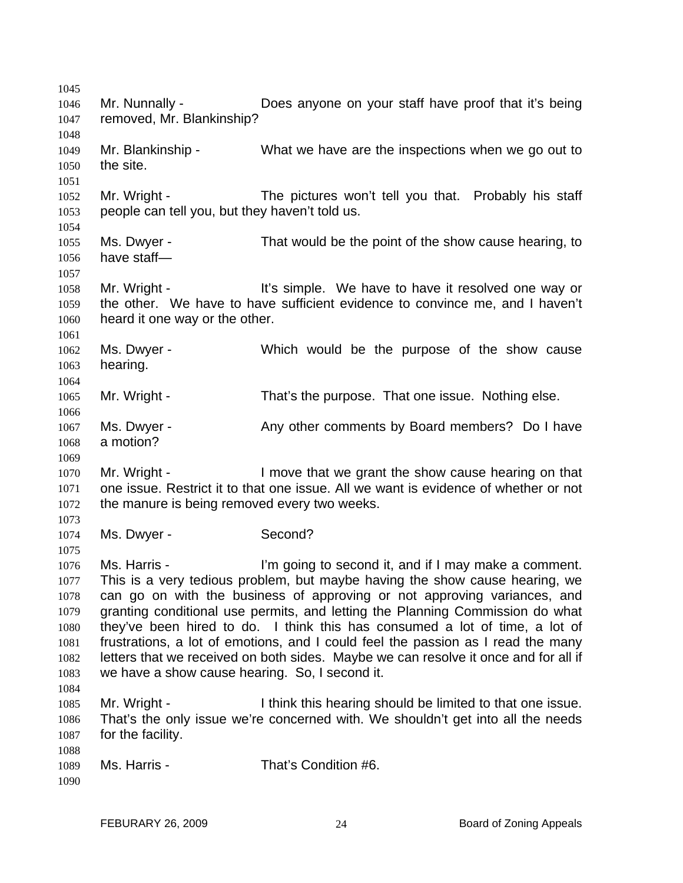1045 1046 1047 1048 1049 1050 1051 1052 1053 1054 1055 1056 1057 1058 1059 1060 1061 1062 1063 1064 1065 1066 1067 1068 1069 1070 1071 1072 1073 1074 1075 1076 1077 1078 1079 1080 1081 1082 1083 1084 1085 1086 1087 1088 1089 1090 Mr. Nunnally - Does anyone on your staff have proof that it's being removed, Mr. Blankinship? Mr. Blankinship - What we have are the inspections when we go out to the site. Mr. Wright - The pictures won't tell you that. Probably his staff people can tell you, but they haven't told us. Ms. Dwyer - That would be the point of the show cause hearing, to have staff— Mr. Wright - It's simple. We have to have it resolved one way or the other. We have to have sufficient evidence to convince me, and I haven't heard it one way or the other. Ms. Dwyer - Which would be the purpose of the show cause hearing. Mr. Wright - That's the purpose. That one issue. Nothing else. Ms. Dwyer - Any other comments by Board members? Do I have a motion? Mr. Wright - The Show cause hearing on that I move that we grant the show cause hearing on that one issue. Restrict it to that one issue. All we want is evidence of whether or not the manure is being removed every two weeks. Ms. Dwyer - Second? Ms. Harris - I'm going to second it, and if I may make a comment. This is a very tedious problem, but maybe having the show cause hearing, we can go on with the business of approving or not approving variances, and granting conditional use permits, and letting the Planning Commission do what they've been hired to do. I think this has consumed a lot of time, a lot of frustrations, a lot of emotions, and I could feel the passion as I read the many letters that we received on both sides. Maybe we can resolve it once and for all if we have a show cause hearing. So, I second it. Mr. Wright - Think this hearing should be limited to that one issue. That's the only issue we're concerned with. We shouldn't get into all the needs for the facility. Ms. Harris - That's Condition #6.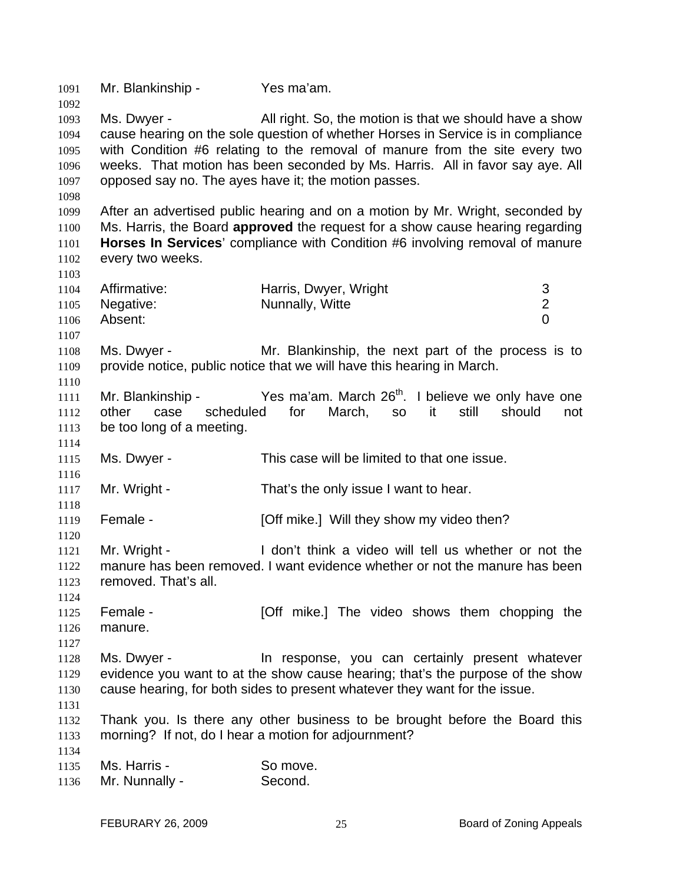1091 Mr. Blankinship - Yes ma'am. 1092 1093 1094 1095 1096 1097 1098 1099 1100 1101 1102 1103 1104 1105 1106 1107 1108 1109 1110 1111 1112 1113 1114 1115 1116 1117 1118 1119 1120 1121 1122 1123 1124 1125 1126 1127 1128 1129 1130 1131 1132 1133 1134 1135 1136 Ms. Dwyer - All right. So, the motion is that we should have a show cause hearing on the sole question of whether Horses in Service is in compliance with Condition #6 relating to the removal of manure from the site every two weeks. That motion has been seconded by Ms. Harris. All in favor say aye. All opposed say no. The ayes have it; the motion passes. After an advertised public hearing and on a motion by Mr. Wright, seconded by Ms. Harris, the Board **approved** the request for a show cause hearing regarding **Horses In Services**' compliance with Condition #6 involving removal of manure every two weeks. Affirmative: **Harris, Dwyer, Wright** 3 Negative: Nunnally, Witte 2 Absent: 0 Ms. Dwyer - Mr. Blankinship, the next part of the process is to provide notice, public notice that we will have this hearing in March. Mr. Blankinship - Yes ma'am. March 26<sup>th</sup>. I believe we only have one other case scheduled for March, so it still should not be too long of a meeting. Ms. Dwyer - This case will be limited to that one issue. Mr. Wright - That's the only issue I want to hear. Female - [Off mike.] Will they show my video then? Mr. Wright - The Music of I don't think a video will tell us whether or not the manure has been removed. I want evidence whether or not the manure has been removed. That's all. Female - [Off mike.] The video shows them chopping the manure. Ms. Dwyer - The response, you can certainly present whatever evidence you want to at the show cause hearing; that's the purpose of the show cause hearing, for both sides to present whatever they want for the issue. Thank you. Is there any other business to be brought before the Board this morning? If not, do I hear a motion for adjournment? Ms. Harris - So move. Mr. Nunnally - Second.